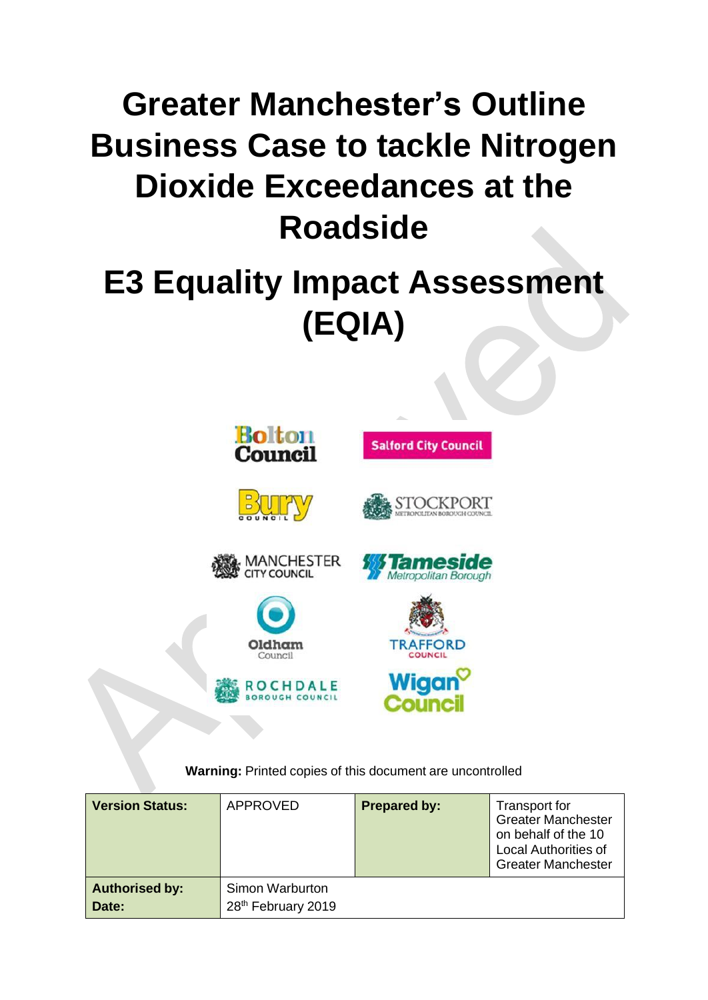# **Greater Manchester's Outline Business Case to tackle Nitrogen Dioxide Exceedances at the Roadside**

# **E3 Equality Impact Assessment (EQIA)**





**Warning:** Printed copies of this document are uncontrolled

our

| <b>Version Status:</b>         | APPROVED                              | <b>Prepared by:</b> | <b>Transport for</b><br><b>Greater Manchester</b><br>on behalf of the 10<br><b>Local Authorities of</b><br><b>Greater Manchester</b> |
|--------------------------------|---------------------------------------|---------------------|--------------------------------------------------------------------------------------------------------------------------------------|
| <b>Authorised by:</b><br>Date: | Simon Warburton<br>28th February 2019 |                     |                                                                                                                                      |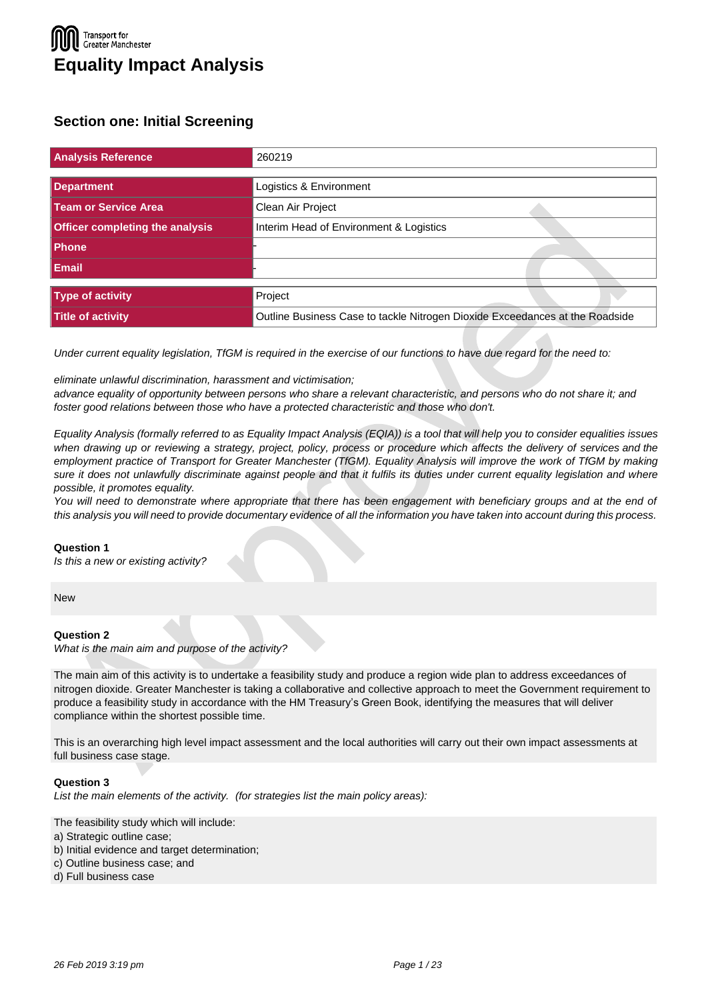### **Transport for** Greater Manchester **Equality Impact Analysis**

### **Section one: Initial Screening**

| <b>Analysis Reference</b>              | 260219                                                                       |
|----------------------------------------|------------------------------------------------------------------------------|
| <b>Department</b>                      | Logistics & Environment                                                      |
| Team or Service Area                   | Clean Air Project                                                            |
| <b>Officer completing the analysis</b> | Interim Head of Environment & Logistics                                      |
| Phone                                  |                                                                              |
| <b>Email</b>                           |                                                                              |
| Type of activity                       | Project                                                                      |
| Title of activity                      | Outline Business Case to tackle Nitrogen Dioxide Exceedances at the Roadside |

*Under current equality legislation, TfGM is required in the exercise of our functions to have due regard for the need to:*

*eliminate unlawful discrimination, harassment and victimisation;*

*advance equality of opportunity between persons who share a relevant characteristic, and persons who do not share it; and foster good relations between those who have a protected characteristic and those who don't.*

Equality Analysis (formally referred to as Equality Impact Analysis (EQIA)) is a tool that will help you to consider equalities issues when drawing up or reviewing a strategy, project, policy, process or procedure which affects the delivery of services and the *employment practice of Transport for Greater Manchester (TfGM). Equality Analysis will improve the work of TfGM by making*  sure it does not unlawfully discriminate against people and that it fulfils its duties under current equality legislation and where *possible, it promotes equality.*

You will need to demonstrate where appropriate that there has been engagement with beneficiary groups and at the end of this analysis you will need to provide documentary evidence of all the information you have taken into account during this process.

### **Question 1**

*Is this a new or existing activity?*

**New** 

### **Question 2**

*What is the main aim and purpose of the activity?*

The main aim of this activity is to undertake a feasibility study and produce a region wide plan to address exceedances of nitrogen dioxide. Greater Manchester is taking a collaborative and collective approach to meet the Government requirement to produce a feasibility study in accordance with the HM Treasury's Green Book, identifying the measures that will deliver compliance within the shortest possible time.

This is an overarching high level impact assessment and the local authorities will carry out their own impact assessments at full business case stage.

### **Question 3**

*List the main elements of the activity. (for strategies list the main policy areas):*

The feasibility study which will include:

- a) Strategic outline case;
- b) Initial evidence and target determination;
- c) Outline business case; and
- d) Full business case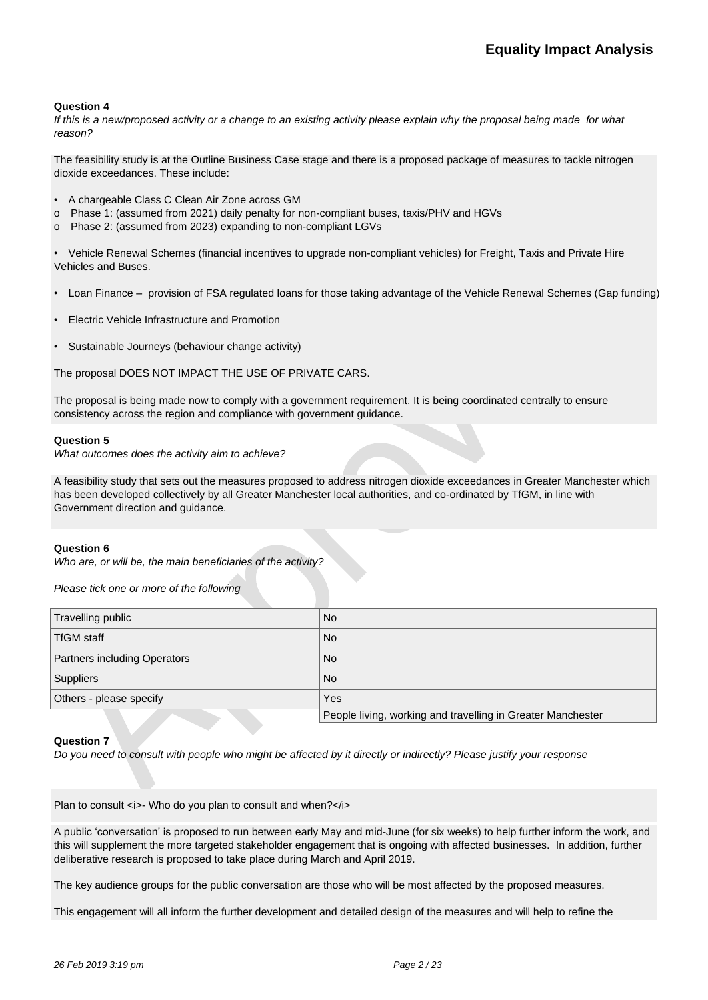*If this is a new/proposed activity or a change to an existing activity please explain why the proposal being made for what reason?*

The feasibility study is at the Outline Business Case stage and there is a proposed package of measures to tackle nitrogen dioxide exceedances. These include:

- A chargeable Class C Clean Air Zone across GM
- o Phase 1: (assumed from 2021) daily penalty for non-compliant buses, taxis/PHV and HGVs
- o Phase 2: (assumed from 2023) expanding to non-compliant LGVs

• Vehicle Renewal Schemes (financial incentives to upgrade non-compliant vehicles) for Freight, Taxis and Private Hire Vehicles and Buses.

- Loan Finance provision of FSA regulated loans for those taking advantage of the Vehicle Renewal Schemes (Gap funding)
- Electric Vehicle Infrastructure and Promotion
- Sustainable Journeys (behaviour change activity)

The proposal DOES NOT IMPACT THE USE OF PRIVATE CARS.

The proposal is being made now to comply with a government requirement. It is being coordinated centrally to ensure consistency across the region and compliance with government guidance.

### **Question 5**

*What outcomes does the activity aim to achieve?*

A feasibility study that sets out the measures proposed to address nitrogen dioxide exceedances in Greater Manchester which has been developed collectively by all Greater Manchester local authorities, and co-ordinated by TfGM, in line with Government direction and guidance.

### **Question 6**

*Who are, or will be, the main beneficiaries of the activity?*

*Please tick one or more of the following*

| Travelling public            | No                                                          |
|------------------------------|-------------------------------------------------------------|
| TfGM staff                   | No                                                          |
| Partners including Operators | No                                                          |
| Suppliers                    | No                                                          |
| Others - please specify      | Yes                                                         |
|                              | People living, working and travelling in Greater Manchester |

### **Question 7**

*Do you need to consult with people who might be affected by it directly or indirectly? Please justify your response*

Plan to consult <i>- Who do you plan to consult and when?</i>

A public 'conversation' is proposed to run between early May and mid-June (for six weeks) to help further inform the work, and this will supplement the more targeted stakeholder engagement that is ongoing with affected businesses. In addition, further deliberative research is proposed to take place during March and April 2019.

The key audience groups for the public conversation are those who will be most affected by the proposed measures.

This engagement will all inform the further development and detailed design of the measures and will help to refine the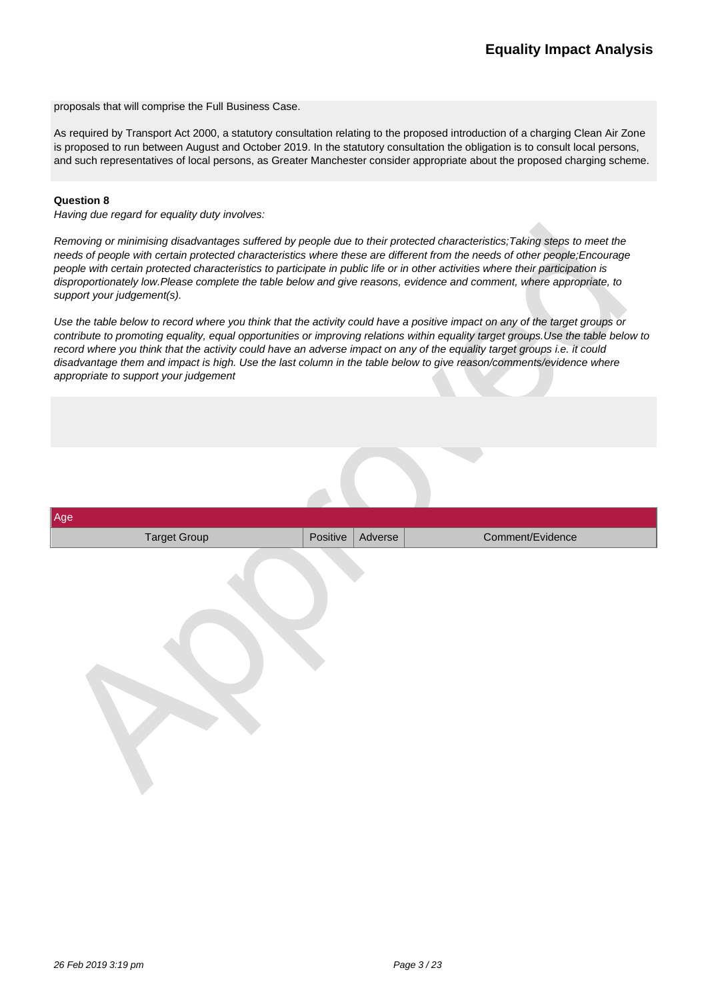proposals that will comprise the Full Business Case.

As required by Transport Act 2000, a statutory consultation relating to the proposed introduction of a charging Clean Air Zone is proposed to run between August and October 2019. In the statutory consultation the obligation is to consult local persons, and such representatives of local persons, as Greater Manchester consider appropriate about the proposed charging scheme.

### **Question 8**

*Having due regard for equality duty involves:*

*Removing or minimising disadvantages suffered by people due to their protected characteristics;Taking steps to meet the needs of people with certain protected characteristics where these are different from the needs of other people;Encourage people with certain protected characteristics to participate in public life or in other activities where their participation is disproportionately low.Please complete the table below and give reasons, evidence and comment, where appropriate, to support your judgement(s).*

*Use the table below to record where you think that the activity could have a positive impact on any of the target groups or contribute to promoting equality, equal opportunities or improving relations within equality target groups.Use the table below to record where you think that the activity could have an adverse impact on any of the equality target groups i.e. it could disadvantage them and impact is high. Use the last column in the table below to give reason/comments/evidence where appropriate to support your judgement*

| Age                 |          |         |                  |
|---------------------|----------|---------|------------------|
| <b>Target Group</b> | Positive | Adverse | Comment/Evidence |
|                     |          |         |                  |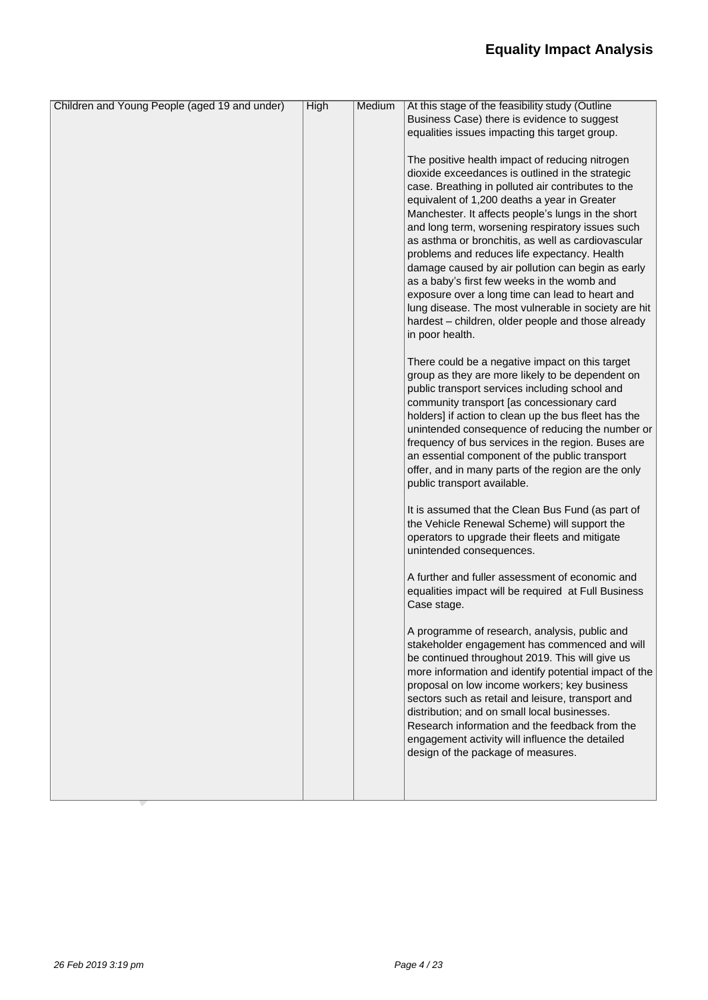| Children and Young People (aged 19 and under) | <b>High</b> | Medium | At this stage of the feasibility study (Outline       |
|-----------------------------------------------|-------------|--------|-------------------------------------------------------|
|                                               |             |        | Business Case) there is evidence to suggest           |
|                                               |             |        | equalities issues impacting this target group.        |
|                                               |             |        |                                                       |
|                                               |             |        | The positive health impact of reducing nitrogen       |
|                                               |             |        | dioxide exceedances is outlined in the strategic      |
|                                               |             |        | case. Breathing in polluted air contributes to the    |
|                                               |             |        | equivalent of 1,200 deaths a year in Greater          |
|                                               |             |        | Manchester. It affects people's lungs in the short    |
|                                               |             |        | and long term, worsening respiratory issues such      |
|                                               |             |        | as asthma or bronchitis, as well as cardiovascular    |
|                                               |             |        | problems and reduces life expectancy. Health          |
|                                               |             |        | damage caused by air pollution can begin as early     |
|                                               |             |        | as a baby's first few weeks in the womb and           |
|                                               |             |        | exposure over a long time can lead to heart and       |
|                                               |             |        | lung disease. The most vulnerable in society are hit  |
|                                               |             |        | hardest - children, older people and those already    |
|                                               |             |        | in poor health.                                       |
|                                               |             |        |                                                       |
|                                               |             |        | There could be a negative impact on this target       |
|                                               |             |        | group as they are more likely to be dependent on      |
|                                               |             |        | public transport services including school and        |
|                                               |             |        | community transport [as concessionary card            |
|                                               |             |        | holders] if action to clean up the bus fleet has the  |
|                                               |             |        | unintended consequence of reducing the number or      |
|                                               |             |        | frequency of bus services in the region. Buses are    |
|                                               |             |        | an essential component of the public transport        |
|                                               |             |        | offer, and in many parts of the region are the only   |
|                                               |             |        | public transport available.                           |
|                                               |             |        |                                                       |
|                                               |             |        | It is assumed that the Clean Bus Fund (as part of     |
|                                               |             |        | the Vehicle Renewal Scheme) will support the          |
|                                               |             |        | operators to upgrade their fleets and mitigate        |
|                                               |             |        | unintended consequences.                              |
|                                               |             |        |                                                       |
|                                               |             |        | A further and fuller assessment of economic and       |
|                                               |             |        | equalities impact will be required at Full Business   |
|                                               |             |        | Case stage.                                           |
|                                               |             |        |                                                       |
|                                               |             |        | A programme of research, analysis, public and         |
|                                               |             |        | stakeholder engagement has commenced and will         |
|                                               |             |        | be continued throughout 2019. This will give us       |
|                                               |             |        | more information and identify potential impact of the |
|                                               |             |        | proposal on low income workers; key business          |
|                                               |             |        | sectors such as retail and leisure, transport and     |
|                                               |             |        | distribution; and on small local businesses.          |
|                                               |             |        | Research information and the feedback from the        |
|                                               |             |        | engagement activity will influence the detailed       |
|                                               |             |        | design of the package of measures.                    |
|                                               |             |        |                                                       |
|                                               |             |        |                                                       |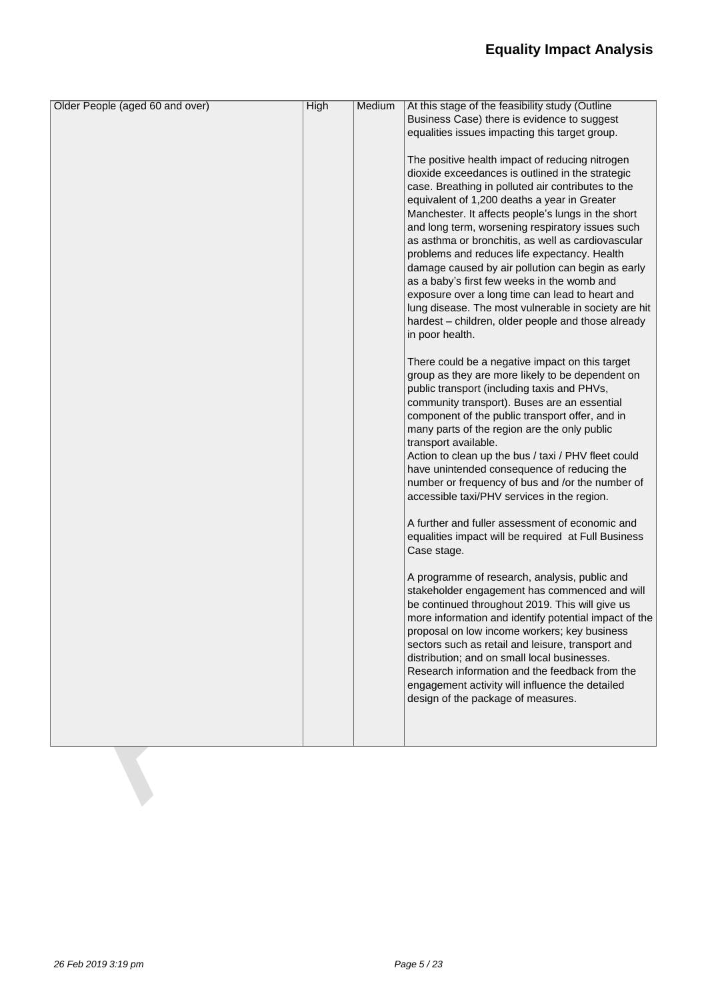| Older People (aged 60 and over) | <b>High</b> | Medium | At this stage of the feasibility study (Outline                             |
|---------------------------------|-------------|--------|-----------------------------------------------------------------------------|
|                                 |             |        | Business Case) there is evidence to suggest                                 |
|                                 |             |        | equalities issues impacting this target group.                              |
|                                 |             |        |                                                                             |
|                                 |             |        | The positive health impact of reducing nitrogen                             |
|                                 |             |        | dioxide exceedances is outlined in the strategic                            |
|                                 |             |        | case. Breathing in polluted air contributes to the                          |
|                                 |             |        | equivalent of 1,200 deaths a year in Greater                                |
|                                 |             |        | Manchester. It affects people's lungs in the short                          |
|                                 |             |        | and long term, worsening respiratory issues such                            |
|                                 |             |        | as asthma or bronchitis, as well as cardiovascular                          |
|                                 |             |        | problems and reduces life expectancy. Health                                |
|                                 |             |        | damage caused by air pollution can begin as early                           |
|                                 |             |        | as a baby's first few weeks in the womb and                                 |
|                                 |             |        | exposure over a long time can lead to heart and                             |
|                                 |             |        | lung disease. The most vulnerable in society are hit                        |
|                                 |             |        | hardest - children, older people and those already                          |
|                                 |             |        | in poor health.                                                             |
|                                 |             |        |                                                                             |
|                                 |             |        | There could be a negative impact on this target                             |
|                                 |             |        | group as they are more likely to be dependent on                            |
|                                 |             |        | public transport (including taxis and PHVs,                                 |
|                                 |             |        | community transport). Buses are an essential                                |
|                                 |             |        | component of the public transport offer, and in                             |
|                                 |             |        | many parts of the region are the only public                                |
|                                 |             |        | transport available.<br>Action to clean up the bus / taxi / PHV fleet could |
|                                 |             |        | have unintended consequence of reducing the                                 |
|                                 |             |        | number or frequency of bus and /or the number of                            |
|                                 |             |        | accessible taxi/PHV services in the region.                                 |
|                                 |             |        |                                                                             |
|                                 |             |        | A further and fuller assessment of economic and                             |
|                                 |             |        | equalities impact will be required at Full Business                         |
|                                 |             |        | Case stage.                                                                 |
|                                 |             |        |                                                                             |
|                                 |             |        | A programme of research, analysis, public and                               |
|                                 |             |        | stakeholder engagement has commenced and will                               |
|                                 |             |        | be continued throughout 2019. This will give us                             |
|                                 |             |        | more information and identify potential impact of the                       |
|                                 |             |        | proposal on low income workers; key business                                |
|                                 |             |        | sectors such as retail and leisure, transport and                           |
|                                 |             |        | distribution; and on small local businesses.                                |
|                                 |             |        | Research information and the feedback from the                              |
|                                 |             |        | engagement activity will influence the detailed                             |
|                                 |             |        | design of the package of measures.                                          |
|                                 |             |        |                                                                             |
|                                 |             |        |                                                                             |
|                                 |             |        |                                                                             |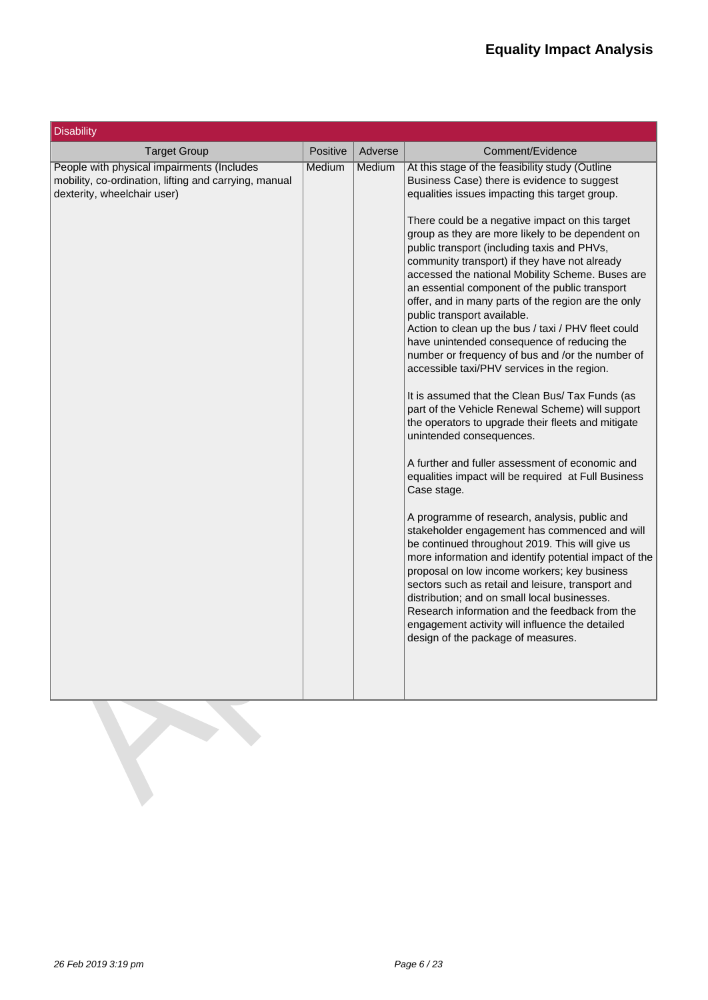| <b>Disability</b>                                                                                                                  |          |         |                                                                                                                                                                                                                                                                                                                                                                                                                                                                                                                                                                                                                                                                                                                                                                                                                                                                                                                                                                                                                                                                                                                                                                                                                                                                                                                                                                                                                                                                                                                                                                                              |
|------------------------------------------------------------------------------------------------------------------------------------|----------|---------|----------------------------------------------------------------------------------------------------------------------------------------------------------------------------------------------------------------------------------------------------------------------------------------------------------------------------------------------------------------------------------------------------------------------------------------------------------------------------------------------------------------------------------------------------------------------------------------------------------------------------------------------------------------------------------------------------------------------------------------------------------------------------------------------------------------------------------------------------------------------------------------------------------------------------------------------------------------------------------------------------------------------------------------------------------------------------------------------------------------------------------------------------------------------------------------------------------------------------------------------------------------------------------------------------------------------------------------------------------------------------------------------------------------------------------------------------------------------------------------------------------------------------------------------------------------------------------------------|
| <b>Target Group</b>                                                                                                                | Positive | Adverse | Comment/Evidence                                                                                                                                                                                                                                                                                                                                                                                                                                                                                                                                                                                                                                                                                                                                                                                                                                                                                                                                                                                                                                                                                                                                                                                                                                                                                                                                                                                                                                                                                                                                                                             |
| People with physical impairments (Includes<br>mobility, co-ordination, lifting and carrying, manual<br>dexterity, wheelchair user) | Medium   | Medium  | At this stage of the feasibility study (Outline<br>Business Case) there is evidence to suggest<br>equalities issues impacting this target group.<br>There could be a negative impact on this target<br>group as they are more likely to be dependent on<br>public transport (including taxis and PHVs,<br>community transport) if they have not already<br>accessed the national Mobility Scheme. Buses are<br>an essential component of the public transport<br>offer, and in many parts of the region are the only<br>public transport available.<br>Action to clean up the bus / taxi / PHV fleet could<br>have unintended consequence of reducing the<br>number or frequency of bus and /or the number of<br>accessible taxi/PHV services in the region.<br>It is assumed that the Clean Bus/ Tax Funds (as<br>part of the Vehicle Renewal Scheme) will support<br>the operators to upgrade their fleets and mitigate<br>unintended consequences.<br>A further and fuller assessment of economic and<br>equalities impact will be required at Full Business<br>Case stage.<br>A programme of research, analysis, public and<br>stakeholder engagement has commenced and will<br>be continued throughout 2019. This will give us<br>more information and identify potential impact of the<br>proposal on low income workers; key business<br>sectors such as retail and leisure, transport and<br>distribution; and on small local businesses.<br>Research information and the feedback from the<br>engagement activity will influence the detailed<br>design of the package of measures. |

**Bandon**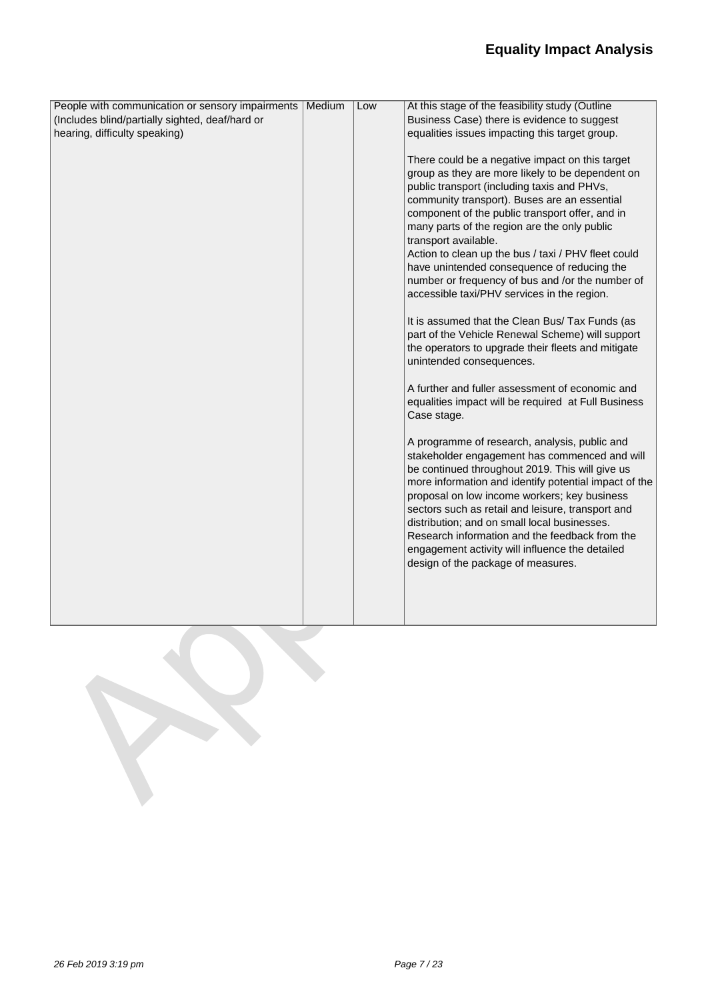| People with communication or sensory impairments   Medium | Low | At this stage of the feasibility study (Outline                                                   |
|-----------------------------------------------------------|-----|---------------------------------------------------------------------------------------------------|
| (Includes blind/partially sighted, deaf/hard or           |     | Business Case) there is evidence to suggest                                                       |
| hearing, difficulty speaking)                             |     | equalities issues impacting this target group.                                                    |
|                                                           |     |                                                                                                   |
|                                                           |     | There could be a negative impact on this target                                                   |
|                                                           |     | group as they are more likely to be dependent on                                                  |
|                                                           |     | public transport (including taxis and PHVs,                                                       |
|                                                           |     | community transport). Buses are an essential                                                      |
|                                                           |     | component of the public transport offer, and in                                                   |
|                                                           |     | many parts of the region are the only public                                                      |
|                                                           |     | transport available.                                                                              |
|                                                           |     | Action to clean up the bus / taxi / PHV fleet could                                               |
|                                                           |     | have unintended consequence of reducing the                                                       |
|                                                           |     | number or frequency of bus and /or the number of                                                  |
|                                                           |     | accessible taxi/PHV services in the region.                                                       |
|                                                           |     | It is assumed that the Clean Bus/ Tax Funds (as                                                   |
|                                                           |     | part of the Vehicle Renewal Scheme) will support                                                  |
|                                                           |     | the operators to upgrade their fleets and mitigate                                                |
|                                                           |     | unintended consequences.                                                                          |
|                                                           |     |                                                                                                   |
|                                                           |     | A further and fuller assessment of economic and                                                   |
|                                                           |     | equalities impact will be required at Full Business                                               |
|                                                           |     | Case stage.                                                                                       |
|                                                           |     |                                                                                                   |
|                                                           |     | A programme of research, analysis, public and                                                     |
|                                                           |     | stakeholder engagement has commenced and will                                                     |
|                                                           |     | be continued throughout 2019. This will give us                                                   |
|                                                           |     | more information and identify potential impact of the                                             |
|                                                           |     | proposal on low income workers; key business                                                      |
|                                                           |     | sectors such as retail and leisure, transport and<br>distribution; and on small local businesses. |
|                                                           |     | Research information and the feedback from the                                                    |
|                                                           |     | engagement activity will influence the detailed                                                   |
|                                                           |     | design of the package of measures.                                                                |
|                                                           |     |                                                                                                   |
|                                                           |     |                                                                                                   |
|                                                           |     |                                                                                                   |
|                                                           |     |                                                                                                   |
|                                                           |     |                                                                                                   |
|                                                           |     |                                                                                                   |
|                                                           |     |                                                                                                   |
|                                                           |     |                                                                                                   |
|                                                           |     |                                                                                                   |
|                                                           |     |                                                                                                   |
|                                                           |     |                                                                                                   |
|                                                           |     |                                                                                                   |
|                                                           |     |                                                                                                   |
|                                                           |     |                                                                                                   |
|                                                           |     |                                                                                                   |
|                                                           |     |                                                                                                   |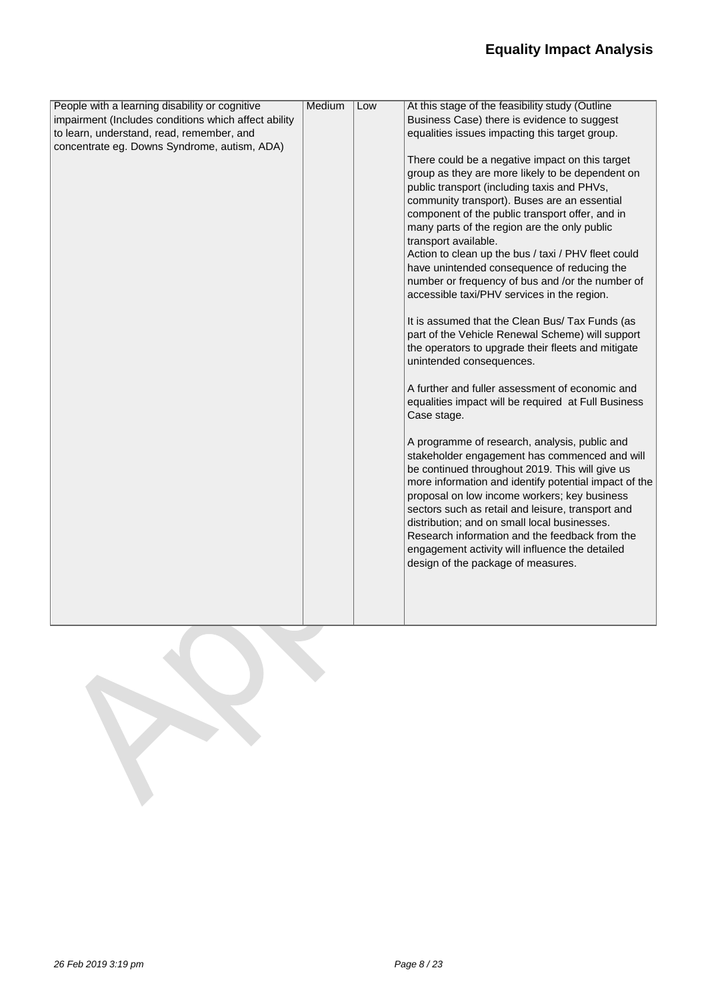| People with a learning disability or cognitive       | Medium | Low | At this stage of the feasibility study (Outline       |
|------------------------------------------------------|--------|-----|-------------------------------------------------------|
| impairment (Includes conditions which affect ability |        |     | Business Case) there is evidence to suggest           |
| to learn, understand, read, remember, and            |        |     | equalities issues impacting this target group.        |
| concentrate eg. Downs Syndrome, autism, ADA)         |        |     |                                                       |
|                                                      |        |     | There could be a negative impact on this target       |
|                                                      |        |     | group as they are more likely to be dependent on      |
|                                                      |        |     | public transport (including taxis and PHVs,           |
|                                                      |        |     | community transport). Buses are an essential          |
|                                                      |        |     | component of the public transport offer, and in       |
|                                                      |        |     | many parts of the region are the only public          |
|                                                      |        |     | transport available.                                  |
|                                                      |        |     | Action to clean up the bus / taxi / PHV fleet could   |
|                                                      |        |     | have unintended consequence of reducing the           |
|                                                      |        |     | number or frequency of bus and /or the number of      |
|                                                      |        |     | accessible taxi/PHV services in the region.           |
|                                                      |        |     | It is assumed that the Clean Bus/ Tax Funds (as       |
|                                                      |        |     | part of the Vehicle Renewal Scheme) will support      |
|                                                      |        |     | the operators to upgrade their fleets and mitigate    |
|                                                      |        |     | unintended consequences.                              |
|                                                      |        |     | A further and fuller assessment of economic and       |
|                                                      |        |     | equalities impact will be required at Full Business   |
|                                                      |        |     | Case stage.                                           |
|                                                      |        |     | A programme of research, analysis, public and         |
|                                                      |        |     | stakeholder engagement has commenced and will         |
|                                                      |        |     | be continued throughout 2019. This will give us       |
|                                                      |        |     | more information and identify potential impact of the |
|                                                      |        |     | proposal on low income workers; key business          |
|                                                      |        |     | sectors such as retail and leisure, transport and     |
|                                                      |        |     | distribution; and on small local businesses.          |
|                                                      |        |     | Research information and the feedback from the        |
|                                                      |        |     | engagement activity will influence the detailed       |
|                                                      |        |     | design of the package of measures.                    |
|                                                      |        |     |                                                       |
|                                                      |        |     |                                                       |
|                                                      |        |     |                                                       |
|                                                      |        |     |                                                       |
|                                                      |        |     |                                                       |
|                                                      |        |     |                                                       |
|                                                      |        |     |                                                       |
|                                                      |        |     |                                                       |
|                                                      |        |     |                                                       |
|                                                      |        |     |                                                       |
|                                                      |        |     |                                                       |
|                                                      |        |     |                                                       |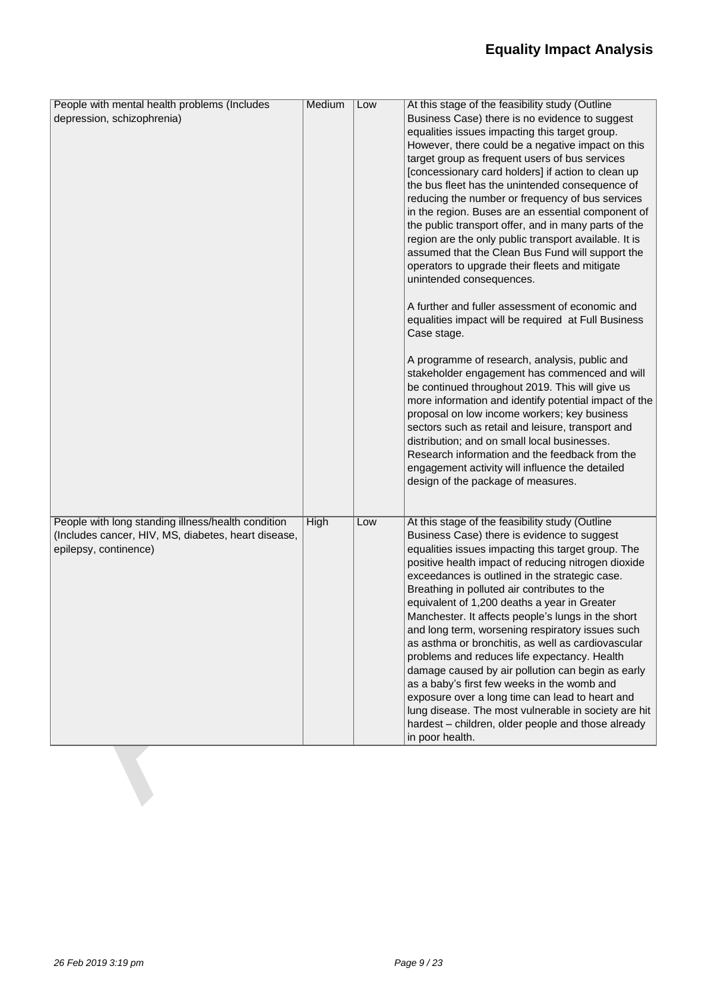| People with mental health problems (Includes                                 | Medium      | Low | At this stage of the feasibility study (Outline                                                               |
|------------------------------------------------------------------------------|-------------|-----|---------------------------------------------------------------------------------------------------------------|
| depression, schizophrenia)                                                   |             |     | Business Case) there is no evidence to suggest                                                                |
|                                                                              |             |     | equalities issues impacting this target group.                                                                |
|                                                                              |             |     | However, there could be a negative impact on this                                                             |
|                                                                              |             |     | target group as frequent users of bus services                                                                |
|                                                                              |             |     | [concessionary card holders] if action to clean up                                                            |
|                                                                              |             |     | the bus fleet has the unintended consequence of                                                               |
|                                                                              |             |     | reducing the number or frequency of bus services                                                              |
|                                                                              |             |     | in the region. Buses are an essential component of                                                            |
|                                                                              |             |     | the public transport offer, and in many parts of the<br>region are the only public transport available. It is |
|                                                                              |             |     | assumed that the Clean Bus Fund will support the                                                              |
|                                                                              |             |     | operators to upgrade their fleets and mitigate                                                                |
|                                                                              |             |     | unintended consequences.                                                                                      |
|                                                                              |             |     |                                                                                                               |
|                                                                              |             |     | A further and fuller assessment of economic and                                                               |
|                                                                              |             |     | equalities impact will be required at Full Business                                                           |
|                                                                              |             |     | Case stage.                                                                                                   |
|                                                                              |             |     |                                                                                                               |
|                                                                              |             |     | A programme of research, analysis, public and                                                                 |
|                                                                              |             |     | stakeholder engagement has commenced and will                                                                 |
|                                                                              |             |     | be continued throughout 2019. This will give us<br>more information and identify potential impact of the      |
|                                                                              |             |     | proposal on low income workers; key business                                                                  |
|                                                                              |             |     | sectors such as retail and leisure, transport and                                                             |
|                                                                              |             |     | distribution; and on small local businesses.                                                                  |
|                                                                              |             |     | Research information and the feedback from the                                                                |
|                                                                              |             |     | engagement activity will influence the detailed                                                               |
|                                                                              |             |     | design of the package of measures.                                                                            |
|                                                                              |             |     |                                                                                                               |
|                                                                              |             |     |                                                                                                               |
| People with long standing illness/health condition                           | <b>High</b> | Low | At this stage of the feasibility study (Outline                                                               |
| (Includes cancer, HIV, MS, diabetes, heart disease,<br>epilepsy, continence) |             |     | Business Case) there is evidence to suggest<br>equalities issues impacting this target group. The             |
|                                                                              |             |     | positive health impact of reducing nitrogen dioxide                                                           |
|                                                                              |             |     | exceedances is outlined in the strategic case.                                                                |
|                                                                              |             |     | Breathing in polluted air contributes to the                                                                  |
|                                                                              |             |     | equivalent of 1,200 deaths a year in Greater                                                                  |
|                                                                              |             |     | Manchester. It affects people's lungs in the short                                                            |
|                                                                              |             |     | and long term, worsening respiratory issues such                                                              |
|                                                                              |             |     | as asthma or bronchitis, as well as cardiovascular                                                            |
|                                                                              |             |     | problems and reduces life expectancy. Health                                                                  |
|                                                                              |             |     | damage caused by air pollution can begin as early                                                             |
|                                                                              |             |     | as a baby's first few weeks in the womb and                                                                   |
|                                                                              |             |     | exposure over a long time can lead to heart and                                                               |
|                                                                              |             |     | lung disease. The most vulnerable in society are hit                                                          |
|                                                                              |             |     | hardest - children, older people and those already                                                            |
|                                                                              |             |     | in poor health.                                                                                               |
|                                                                              |             |     |                                                                                                               |
|                                                                              |             |     |                                                                                                               |
|                                                                              |             |     |                                                                                                               |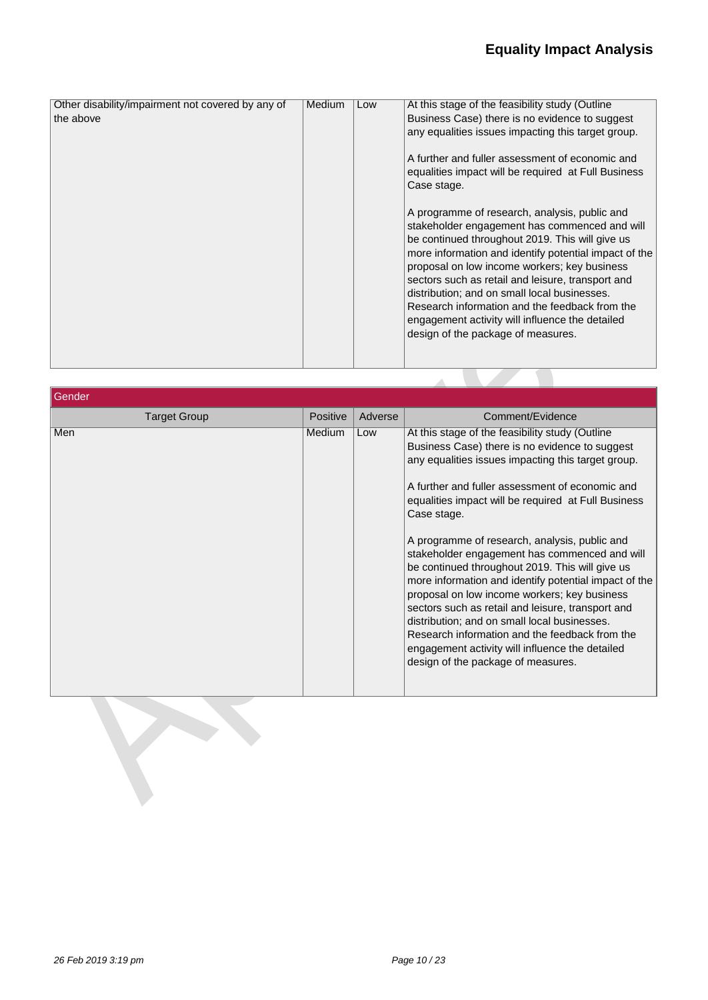| Other disability/impairment not covered by any of | Medium | Low | At this stage of the feasibility study (Outline       |
|---------------------------------------------------|--------|-----|-------------------------------------------------------|
| the above                                         |        |     | Business Case) there is no evidence to suggest        |
|                                                   |        |     | any equalities issues impacting this target group.    |
|                                                   |        |     |                                                       |
|                                                   |        |     |                                                       |
|                                                   |        |     | A further and fuller assessment of economic and       |
|                                                   |        |     | equalities impact will be required at Full Business   |
|                                                   |        |     | Case stage.                                           |
|                                                   |        |     |                                                       |
|                                                   |        |     |                                                       |
|                                                   |        |     | A programme of research, analysis, public and         |
|                                                   |        |     | stakeholder engagement has commenced and will         |
|                                                   |        |     | be continued throughout 2019. This will give us       |
|                                                   |        |     | more information and identify potential impact of the |
|                                                   |        |     | proposal on low income workers; key business          |
|                                                   |        |     |                                                       |
|                                                   |        |     | sectors such as retail and leisure, transport and     |
|                                                   |        |     | distribution; and on small local businesses.          |
|                                                   |        |     | Research information and the feedback from the        |
|                                                   |        |     | engagement activity will influence the detailed       |
|                                                   |        |     | design of the package of measures.                    |
|                                                   |        |     |                                                       |
|                                                   |        |     |                                                       |
|                                                   |        |     |                                                       |

| Gender              |                 |         |                                                                                                                                                                                                                                                                                                                                                                                                                                                                                                                                                                                                                                                                                                                                                                                                |
|---------------------|-----------------|---------|------------------------------------------------------------------------------------------------------------------------------------------------------------------------------------------------------------------------------------------------------------------------------------------------------------------------------------------------------------------------------------------------------------------------------------------------------------------------------------------------------------------------------------------------------------------------------------------------------------------------------------------------------------------------------------------------------------------------------------------------------------------------------------------------|
| <b>Target Group</b> | <b>Positive</b> | Adverse | Comment/Evidence                                                                                                                                                                                                                                                                                                                                                                                                                                                                                                                                                                                                                                                                                                                                                                               |
| Men                 | Medium          | Low     | At this stage of the feasibility study (Outline<br>Business Case) there is no evidence to suggest<br>any equalities issues impacting this target group.<br>A further and fuller assessment of economic and<br>equalities impact will be required at Full Business<br>Case stage.<br>A programme of research, analysis, public and<br>stakeholder engagement has commenced and will<br>be continued throughout 2019. This will give us<br>more information and identify potential impact of the<br>proposal on low income workers; key business<br>sectors such as retail and leisure, transport and<br>distribution; and on small local businesses.<br>Research information and the feedback from the<br>engagement activity will influence the detailed<br>design of the package of measures. |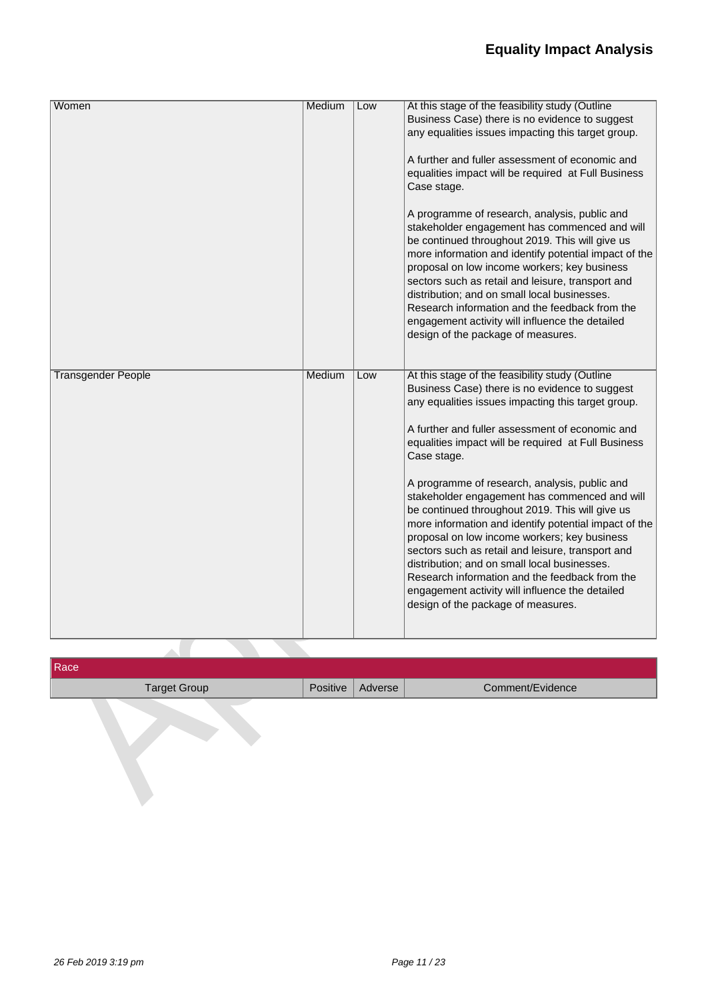| Medium<br>Women<br>At this stage of the feasibility study (Outline<br>Low<br>Business Case) there is no evidence to suggest<br>any equalities issues impacting this target group.<br>A further and fuller assessment of economic and<br>equalities impact will be required at Full Business<br>Case stage.<br>A programme of research, analysis, public and |
|-------------------------------------------------------------------------------------------------------------------------------------------------------------------------------------------------------------------------------------------------------------------------------------------------------------------------------------------------------------|
|                                                                                                                                                                                                                                                                                                                                                             |
|                                                                                                                                                                                                                                                                                                                                                             |
|                                                                                                                                                                                                                                                                                                                                                             |
|                                                                                                                                                                                                                                                                                                                                                             |
|                                                                                                                                                                                                                                                                                                                                                             |
|                                                                                                                                                                                                                                                                                                                                                             |
|                                                                                                                                                                                                                                                                                                                                                             |
|                                                                                                                                                                                                                                                                                                                                                             |
| stakeholder engagement has commenced and will                                                                                                                                                                                                                                                                                                               |
| be continued throughout 2019. This will give us                                                                                                                                                                                                                                                                                                             |
| more information and identify potential impact of the                                                                                                                                                                                                                                                                                                       |
| proposal on low income workers; key business                                                                                                                                                                                                                                                                                                                |
| sectors such as retail and leisure, transport and                                                                                                                                                                                                                                                                                                           |
| distribution; and on small local businesses.                                                                                                                                                                                                                                                                                                                |
| Research information and the feedback from the                                                                                                                                                                                                                                                                                                              |
| engagement activity will influence the detailed                                                                                                                                                                                                                                                                                                             |
| design of the package of measures.                                                                                                                                                                                                                                                                                                                          |
|                                                                                                                                                                                                                                                                                                                                                             |
|                                                                                                                                                                                                                                                                                                                                                             |
| <b>Transgender People</b><br>Medium<br>At this stage of the feasibility study (Outline<br>Low                                                                                                                                                                                                                                                               |
| Business Case) there is no evidence to suggest                                                                                                                                                                                                                                                                                                              |
| any equalities issues impacting this target group.                                                                                                                                                                                                                                                                                                          |
|                                                                                                                                                                                                                                                                                                                                                             |
| A further and fuller assessment of economic and                                                                                                                                                                                                                                                                                                             |
| equalities impact will be required at Full Business                                                                                                                                                                                                                                                                                                         |
| Case stage.                                                                                                                                                                                                                                                                                                                                                 |
|                                                                                                                                                                                                                                                                                                                                                             |
| A programme of research, analysis, public and                                                                                                                                                                                                                                                                                                               |
| stakeholder engagement has commenced and will                                                                                                                                                                                                                                                                                                               |
| be continued throughout 2019. This will give us                                                                                                                                                                                                                                                                                                             |
| more information and identify potential impact of the                                                                                                                                                                                                                                                                                                       |
| proposal on low income workers; key business                                                                                                                                                                                                                                                                                                                |
| sectors such as retail and leisure, transport and                                                                                                                                                                                                                                                                                                           |
| distribution; and on small local businesses.                                                                                                                                                                                                                                                                                                                |
| Research information and the feedback from the                                                                                                                                                                                                                                                                                                              |
| engagement activity will influence the detailed                                                                                                                                                                                                                                                                                                             |
| design of the package of measures.                                                                                                                                                                                                                                                                                                                          |
|                                                                                                                                                                                                                                                                                                                                                             |

| Race                |                    |                  |
|---------------------|--------------------|------------------|
| <b>Target Group</b> | Positive   Adverse | Comment/Evidence |
|                     |                    |                  |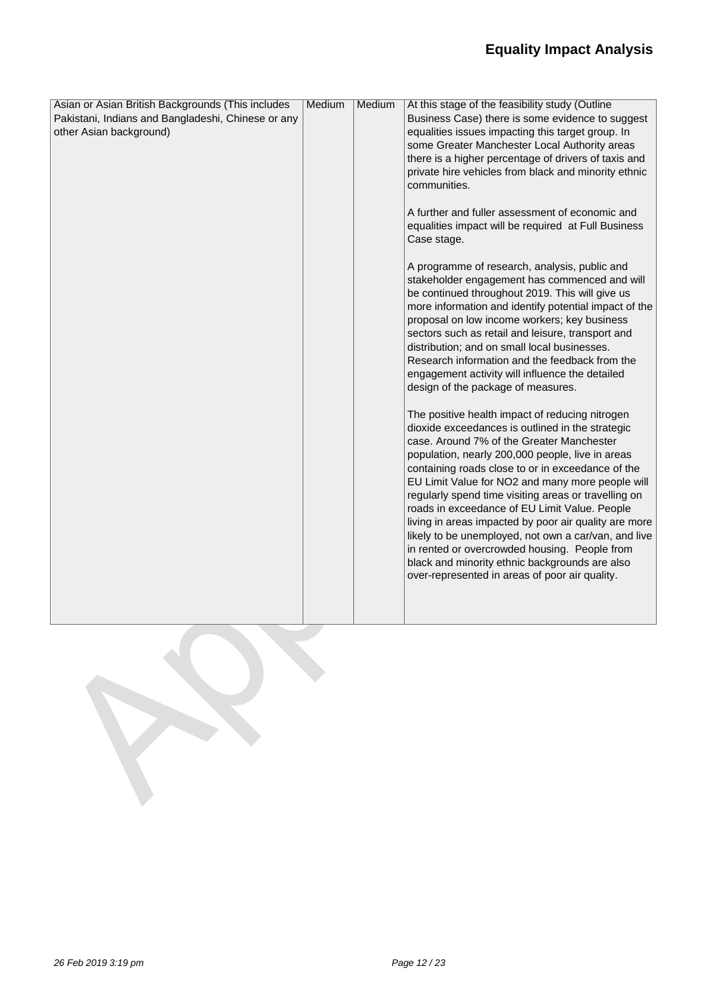## **Equality Impact Analysis**

| Asian or Asian British Backgrounds (This includes  | Medium | Medium | At this stage of the feasibility study (Outline                                                        |
|----------------------------------------------------|--------|--------|--------------------------------------------------------------------------------------------------------|
| Pakistani, Indians and Bangladeshi, Chinese or any |        |        | Business Case) there is some evidence to suggest                                                       |
| other Asian background)                            |        |        | equalities issues impacting this target group. In<br>some Greater Manchester Local Authority areas     |
|                                                    |        |        | there is a higher percentage of drivers of taxis and                                                   |
|                                                    |        |        | private hire vehicles from black and minority ethnic                                                   |
|                                                    |        |        | communities.                                                                                           |
|                                                    |        |        | A further and fuller assessment of economic and<br>equalities impact will be required at Full Business |
|                                                    |        |        | Case stage.                                                                                            |
|                                                    |        |        | A programme of research, analysis, public and                                                          |
|                                                    |        |        | stakeholder engagement has commenced and will<br>be continued throughout 2019. This will give us       |
|                                                    |        |        | more information and identify potential impact of the                                                  |
|                                                    |        |        | proposal on low income workers; key business                                                           |
|                                                    |        |        | sectors such as retail and leisure, transport and                                                      |
|                                                    |        |        | distribution; and on small local businesses.<br>Research information and the feedback from the         |
|                                                    |        |        | engagement activity will influence the detailed                                                        |
|                                                    |        |        | design of the package of measures.                                                                     |
|                                                    |        |        | The positive health impact of reducing nitrogen                                                        |
|                                                    |        |        | dioxide exceedances is outlined in the strategic<br>case. Around 7% of the Greater Manchester          |
|                                                    |        |        | population, nearly 200,000 people, live in areas                                                       |
|                                                    |        |        | containing roads close to or in exceedance of the                                                      |
|                                                    |        |        | EU Limit Value for NO2 and many more people will                                                       |
|                                                    |        |        | regularly spend time visiting areas or travelling on                                                   |
|                                                    |        |        | roads in exceedance of EU Limit Value. People<br>living in areas impacted by poor air quality are more |
|                                                    |        |        | likely to be unemployed, not own a car/van, and live                                                   |
|                                                    |        |        | in rented or overcrowded housing. People from                                                          |
|                                                    |        |        | black and minority ethnic backgrounds are also                                                         |
|                                                    |        |        | over-represented in areas of poor air quality.                                                         |
|                                                    |        |        |                                                                                                        |
|                                                    |        |        |                                                                                                        |
|                                                    |        |        |                                                                                                        |
|                                                    |        |        |                                                                                                        |
|                                                    |        |        |                                                                                                        |
|                                                    |        |        |                                                                                                        |
|                                                    |        |        |                                                                                                        |
|                                                    |        |        |                                                                                                        |
|                                                    |        |        |                                                                                                        |
|                                                    |        |        |                                                                                                        |
|                                                    |        |        |                                                                                                        |
|                                                    |        |        |                                                                                                        |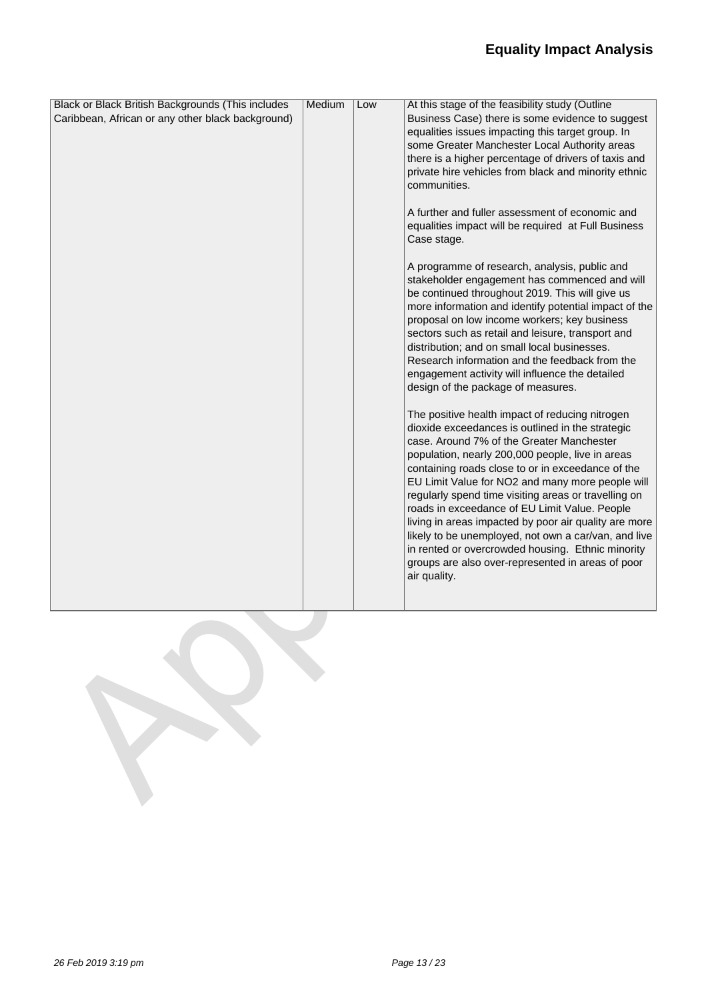## **Equality Impact Analysis**

| Black or Black British Backgrounds (This includes | Medium | Low | At this stage of the feasibility study (Outline       |
|---------------------------------------------------|--------|-----|-------------------------------------------------------|
| Caribbean, African or any other black background) |        |     | Business Case) there is some evidence to suggest      |
|                                                   |        |     | equalities issues impacting this target group. In     |
|                                                   |        |     | some Greater Manchester Local Authority areas         |
|                                                   |        |     | there is a higher percentage of drivers of taxis and  |
|                                                   |        |     | private hire vehicles from black and minority ethnic  |
|                                                   |        |     | communities.                                          |
|                                                   |        |     |                                                       |
|                                                   |        |     | A further and fuller assessment of economic and       |
|                                                   |        |     | equalities impact will be required at Full Business   |
|                                                   |        |     | Case stage.                                           |
|                                                   |        |     |                                                       |
|                                                   |        |     | A programme of research, analysis, public and         |
|                                                   |        |     | stakeholder engagement has commenced and will         |
|                                                   |        |     | be continued throughout 2019. This will give us       |
|                                                   |        |     | more information and identify potential impact of the |
|                                                   |        |     | proposal on low income workers; key business          |
|                                                   |        |     | sectors such as retail and leisure, transport and     |
|                                                   |        |     | distribution; and on small local businesses.          |
|                                                   |        |     | Research information and the feedback from the        |
|                                                   |        |     | engagement activity will influence the detailed       |
|                                                   |        |     | design of the package of measures.                    |
|                                                   |        |     |                                                       |
|                                                   |        |     | The positive health impact of reducing nitrogen       |
|                                                   |        |     | dioxide exceedances is outlined in the strategic      |
|                                                   |        |     | case. Around 7% of the Greater Manchester             |
|                                                   |        |     | population, nearly 200,000 people, live in areas      |
|                                                   |        |     | containing roads close to or in exceedance of the     |
|                                                   |        |     | EU Limit Value for NO2 and many more people will      |
|                                                   |        |     | regularly spend time visiting areas or travelling on  |
|                                                   |        |     | roads in exceedance of EU Limit Value. People         |
|                                                   |        |     | living in areas impacted by poor air quality are more |
|                                                   |        |     | likely to be unemployed, not own a car/van, and live  |
|                                                   |        |     | in rented or overcrowded housing. Ethnic minority     |
|                                                   |        |     | groups are also over-represented in areas of poor     |
|                                                   |        |     | air quality.                                          |
|                                                   |        |     |                                                       |
|                                                   |        |     |                                                       |

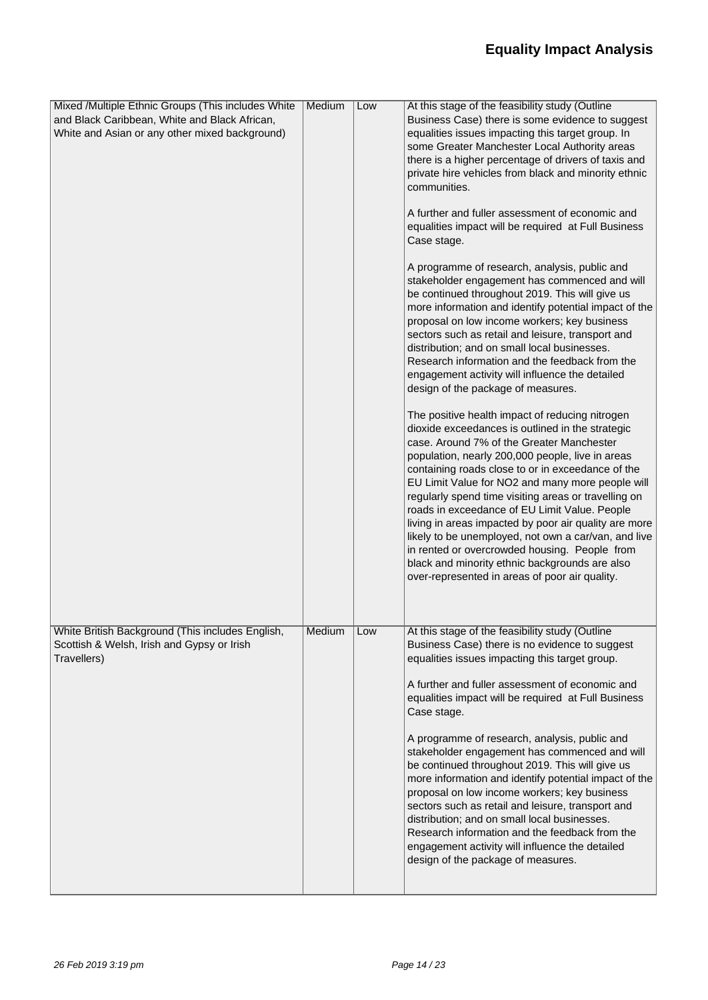| Mixed /Multiple Ethnic Groups (This includes White                                                            | Medium | Low | At this stage of the feasibility study (Outline                                                                                                                                                                                                                                                                                                                                                                                                                                                                                                                                                                                                                                              |
|---------------------------------------------------------------------------------------------------------------|--------|-----|----------------------------------------------------------------------------------------------------------------------------------------------------------------------------------------------------------------------------------------------------------------------------------------------------------------------------------------------------------------------------------------------------------------------------------------------------------------------------------------------------------------------------------------------------------------------------------------------------------------------------------------------------------------------------------------------|
| and Black Caribbean, White and Black African,                                                                 |        |     | Business Case) there is some evidence to suggest                                                                                                                                                                                                                                                                                                                                                                                                                                                                                                                                                                                                                                             |
| White and Asian or any other mixed background)                                                                |        |     | equalities issues impacting this target group. In                                                                                                                                                                                                                                                                                                                                                                                                                                                                                                                                                                                                                                            |
|                                                                                                               |        |     | some Greater Manchester Local Authority areas                                                                                                                                                                                                                                                                                                                                                                                                                                                                                                                                                                                                                                                |
|                                                                                                               |        |     | there is a higher percentage of drivers of taxis and                                                                                                                                                                                                                                                                                                                                                                                                                                                                                                                                                                                                                                         |
|                                                                                                               |        |     | private hire vehicles from black and minority ethnic                                                                                                                                                                                                                                                                                                                                                                                                                                                                                                                                                                                                                                         |
|                                                                                                               |        |     | communities.                                                                                                                                                                                                                                                                                                                                                                                                                                                                                                                                                                                                                                                                                 |
|                                                                                                               |        |     | A further and fuller assessment of economic and                                                                                                                                                                                                                                                                                                                                                                                                                                                                                                                                                                                                                                              |
|                                                                                                               |        |     | equalities impact will be required at Full Business                                                                                                                                                                                                                                                                                                                                                                                                                                                                                                                                                                                                                                          |
|                                                                                                               |        |     | Case stage.                                                                                                                                                                                                                                                                                                                                                                                                                                                                                                                                                                                                                                                                                  |
|                                                                                                               |        |     | A programme of research, analysis, public and<br>stakeholder engagement has commenced and will<br>be continued throughout 2019. This will give us<br>more information and identify potential impact of the<br>proposal on low income workers; key business<br>sectors such as retail and leisure, transport and<br>distribution; and on small local businesses.<br>Research information and the feedback from the                                                                                                                                                                                                                                                                            |
|                                                                                                               |        |     | engagement activity will influence the detailed<br>design of the package of measures.                                                                                                                                                                                                                                                                                                                                                                                                                                                                                                                                                                                                        |
|                                                                                                               |        |     | The positive health impact of reducing nitrogen<br>dioxide exceedances is outlined in the strategic<br>case. Around 7% of the Greater Manchester<br>population, nearly 200,000 people, live in areas<br>containing roads close to or in exceedance of the<br>EU Limit Value for NO2 and many more people will<br>regularly spend time visiting areas or travelling on<br>roads in exceedance of EU Limit Value. People<br>living in areas impacted by poor air quality are more<br>likely to be unemployed, not own a car/van, and live<br>in rented or overcrowded housing. People from<br>black and minority ethnic backgrounds are also<br>over-represented in areas of poor air quality. |
| White British Background (This includes English,<br>Scottish & Welsh, Irish and Gypsy or Irish<br>Travellers) | Medium | Low | At this stage of the feasibility study (Outline<br>Business Case) there is no evidence to suggest<br>equalities issues impacting this target group.                                                                                                                                                                                                                                                                                                                                                                                                                                                                                                                                          |
|                                                                                                               |        |     | A further and fuller assessment of economic and<br>equalities impact will be required at Full Business<br>Case stage.                                                                                                                                                                                                                                                                                                                                                                                                                                                                                                                                                                        |
|                                                                                                               |        |     | A programme of research, analysis, public and<br>stakeholder engagement has commenced and will<br>be continued throughout 2019. This will give us<br>more information and identify potential impact of the<br>proposal on low income workers; key business<br>sectors such as retail and leisure, transport and<br>distribution; and on small local businesses.<br>Research information and the feedback from the<br>engagement activity will influence the detailed<br>design of the package of measures.                                                                                                                                                                                   |
|                                                                                                               |        |     |                                                                                                                                                                                                                                                                                                                                                                                                                                                                                                                                                                                                                                                                                              |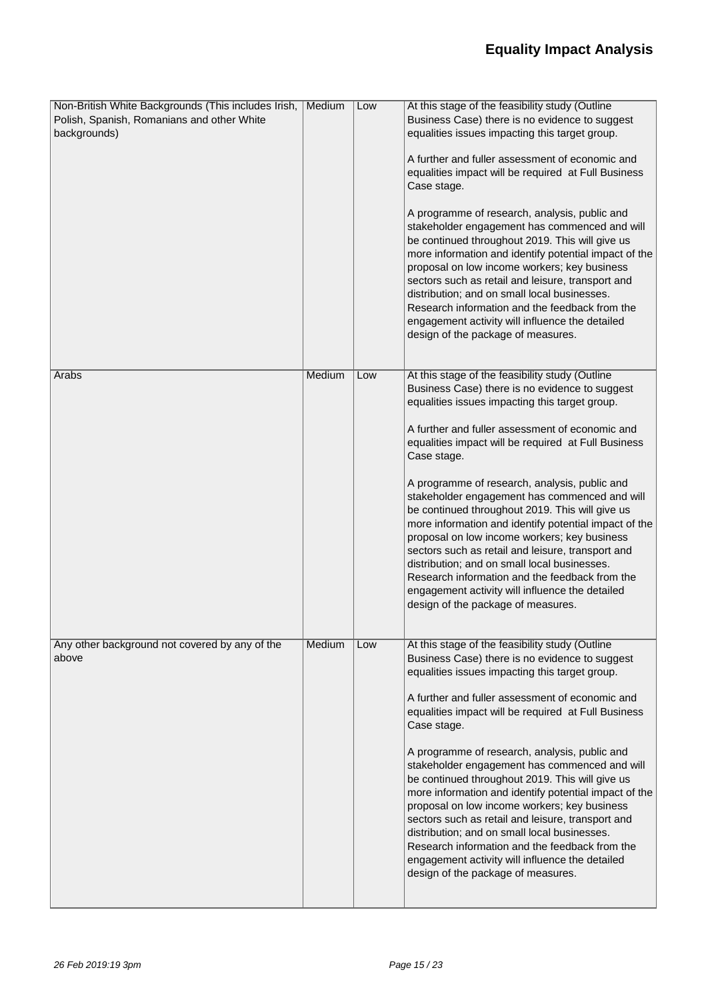| Non-British White Backgrounds (This includes Irish,<br>Polish, Spanish, Romanians and other White<br>backgrounds) | Medium        | Low | At this stage of the feasibility study (Outline<br>Business Case) there is no evidence to suggest<br>equalities issues impacting this target group.<br>A further and fuller assessment of economic and<br>equalities impact will be required at Full Business<br>Case stage.<br>A programme of research, analysis, public and<br>stakeholder engagement has commenced and will<br>be continued throughout 2019. This will give us<br>more information and identify potential impact of the<br>proposal on low income workers; key business<br>sectors such as retail and leisure, transport and<br>distribution; and on small local businesses.<br>Research information and the feedback from the<br>engagement activity will influence the detailed<br>design of the package of measures. |
|-------------------------------------------------------------------------------------------------------------------|---------------|-----|--------------------------------------------------------------------------------------------------------------------------------------------------------------------------------------------------------------------------------------------------------------------------------------------------------------------------------------------------------------------------------------------------------------------------------------------------------------------------------------------------------------------------------------------------------------------------------------------------------------------------------------------------------------------------------------------------------------------------------------------------------------------------------------------|
| Arabs                                                                                                             | <b>Medium</b> | Low | At this stage of the feasibility study (Outline<br>Business Case) there is no evidence to suggest<br>equalities issues impacting this target group.<br>A further and fuller assessment of economic and<br>equalities impact will be required at Full Business<br>Case stage.<br>A programme of research, analysis, public and<br>stakeholder engagement has commenced and will<br>be continued throughout 2019. This will give us<br>more information and identify potential impact of the<br>proposal on low income workers; key business<br>sectors such as retail and leisure, transport and<br>distribution; and on small local businesses.<br>Research information and the feedback from the<br>engagement activity will influence the detailed<br>design of the package of measures. |
| Any other background not covered by any of the<br>above                                                           | Medium        | Low | At this stage of the feasibility study (Outline<br>Business Case) there is no evidence to suggest<br>equalities issues impacting this target group.<br>A further and fuller assessment of economic and<br>equalities impact will be required at Full Business<br>Case stage.<br>A programme of research, analysis, public and<br>stakeholder engagement has commenced and will<br>be continued throughout 2019. This will give us<br>more information and identify potential impact of the<br>proposal on low income workers; key business<br>sectors such as retail and leisure, transport and<br>distribution; and on small local businesses.<br>Research information and the feedback from the<br>engagement activity will influence the detailed<br>design of the package of measures. |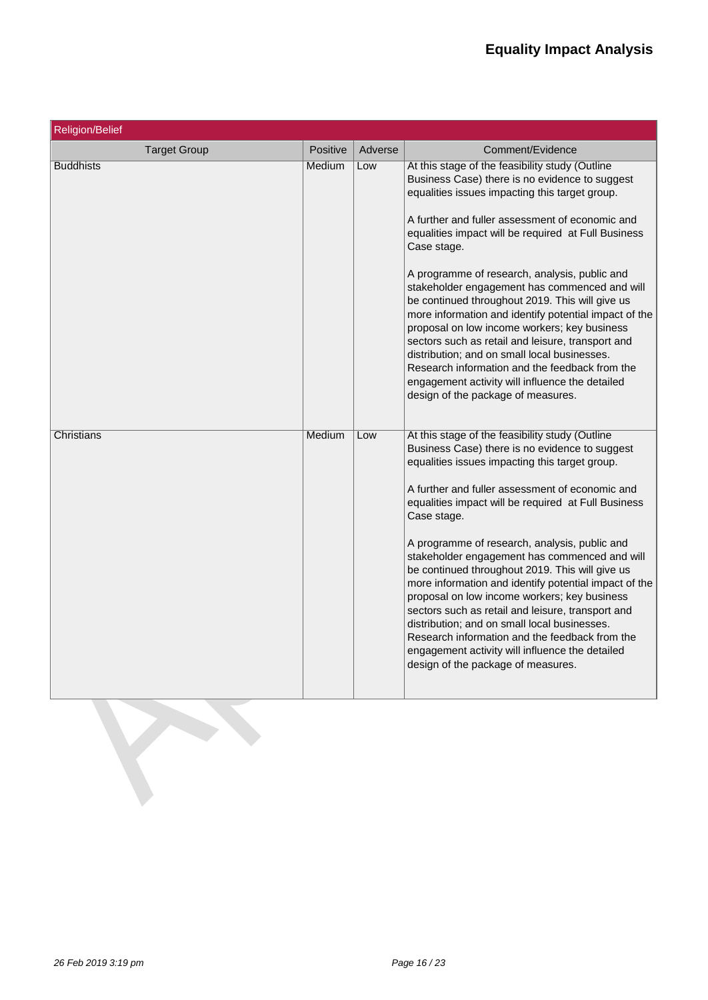| <b>Religion/Belief</b> |               |         |                                                                                                                                                                                                                                                                                                                                                                                                                                                                                                                                                                                                                                                                                                                                                                                            |
|------------------------|---------------|---------|--------------------------------------------------------------------------------------------------------------------------------------------------------------------------------------------------------------------------------------------------------------------------------------------------------------------------------------------------------------------------------------------------------------------------------------------------------------------------------------------------------------------------------------------------------------------------------------------------------------------------------------------------------------------------------------------------------------------------------------------------------------------------------------------|
| <b>Target Group</b>    | Positive      | Adverse | Comment/Evidence                                                                                                                                                                                                                                                                                                                                                                                                                                                                                                                                                                                                                                                                                                                                                                           |
| <b>Buddhists</b>       | <b>Medium</b> | Low     | At this stage of the feasibility study (Outline<br>Business Case) there is no evidence to suggest<br>equalities issues impacting this target group.<br>A further and fuller assessment of economic and<br>equalities impact will be required at Full Business<br>Case stage.<br>A programme of research, analysis, public and<br>stakeholder engagement has commenced and will<br>be continued throughout 2019. This will give us<br>more information and identify potential impact of the<br>proposal on low income workers; key business<br>sectors such as retail and leisure, transport and<br>distribution; and on small local businesses.<br>Research information and the feedback from the<br>engagement activity will influence the detailed<br>design of the package of measures. |
| Christians             | Medium        | Low     | At this stage of the feasibility study (Outline<br>Business Case) there is no evidence to suggest<br>equalities issues impacting this target group.<br>A further and fuller assessment of economic and<br>equalities impact will be required at Full Business<br>Case stage.<br>A programme of research, analysis, public and<br>stakeholder engagement has commenced and will<br>be continued throughout 2019. This will give us<br>more information and identify potential impact of the<br>proposal on low income workers; key business<br>sectors such as retail and leisure, transport and<br>distribution; and on small local businesses.<br>Research information and the feedback from the<br>engagement activity will influence the detailed<br>design of the package of measures. |

R

l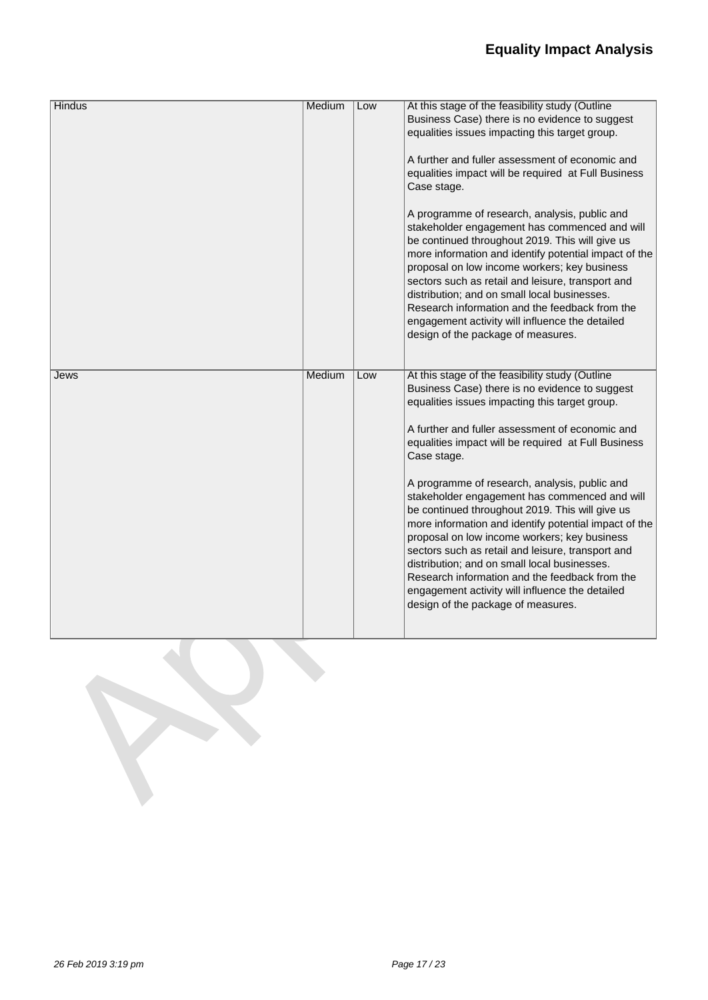| <b>Hindus</b> | Medium | Low | At this stage of the feasibility study (Outline                                                                                                                                                                                                                                                                                                                                                                                                                                                            |
|---------------|--------|-----|------------------------------------------------------------------------------------------------------------------------------------------------------------------------------------------------------------------------------------------------------------------------------------------------------------------------------------------------------------------------------------------------------------------------------------------------------------------------------------------------------------|
|               |        |     | Business Case) there is no evidence to suggest<br>equalities issues impacting this target group.                                                                                                                                                                                                                                                                                                                                                                                                           |
|               |        |     | A further and fuller assessment of economic and<br>equalities impact will be required at Full Business<br>Case stage.                                                                                                                                                                                                                                                                                                                                                                                      |
|               |        |     | A programme of research, analysis, public and<br>stakeholder engagement has commenced and will<br>be continued throughout 2019. This will give us<br>more information and identify potential impact of the<br>proposal on low income workers; key business<br>sectors such as retail and leisure, transport and<br>distribution; and on small local businesses.<br>Research information and the feedback from the<br>engagement activity will influence the detailed<br>design of the package of measures. |
| Jews          | Medium | Low | At this stage of the feasibility study (Outline<br>Business Case) there is no evidence to suggest<br>equalities issues impacting this target group.<br>A further and fuller assessment of economic and<br>equalities impact will be required at Full Business<br>Case stage.                                                                                                                                                                                                                               |
|               |        |     | A programme of research, analysis, public and<br>stakeholder engagement has commenced and will<br>be continued throughout 2019. This will give us<br>more information and identify potential impact of the<br>proposal on low income workers; key business<br>sectors such as retail and leisure, transport and<br>distribution; and on small local businesses.<br>Research information and the feedback from the<br>engagement activity will influence the detailed<br>design of the package of measures. |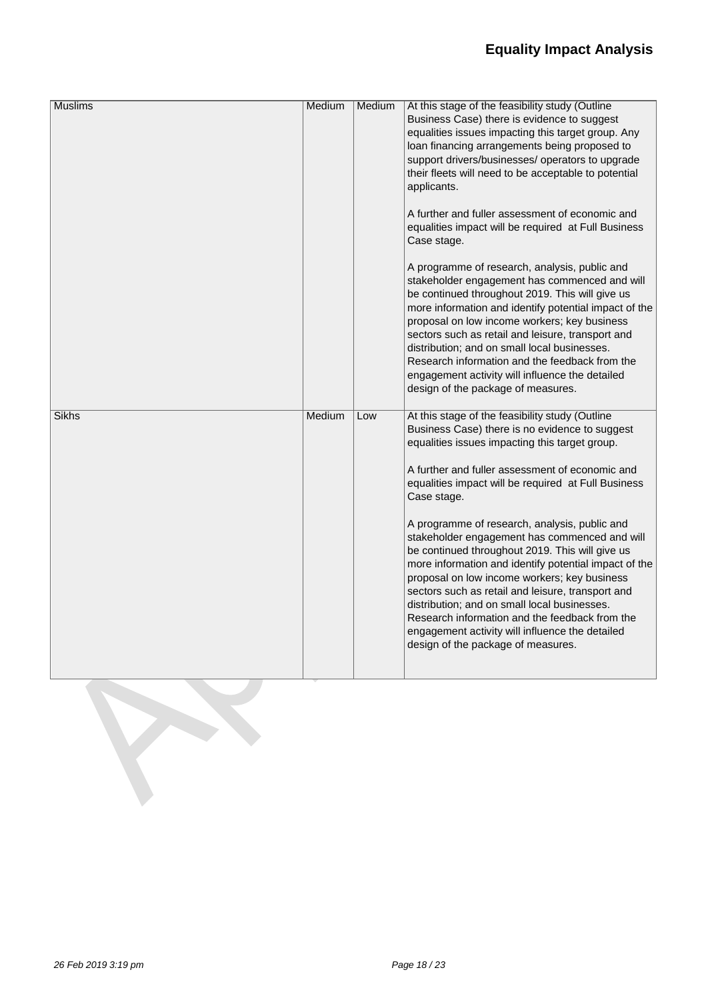## **Equality Impact Analysis**

| <b>Muslims</b> | Medium | Medium | At this stage of the feasibility study (Outline<br>Business Case) there is evidence to suggest<br>equalities issues impacting this target group. Any<br>loan financing arrangements being proposed to<br>support drivers/businesses/ operators to upgrade<br>their fleets will need to be acceptable to potential<br>applicants.<br>A further and fuller assessment of economic and<br>equalities impact will be required at Full Business<br>Case stage.<br>A programme of research, analysis, public and<br>stakeholder engagement has commenced and will<br>be continued throughout 2019. This will give us<br>more information and identify potential impact of the<br>proposal on low income workers; key business<br>sectors such as retail and leisure, transport and<br>distribution; and on small local businesses.<br>Research information and the feedback from the<br>engagement activity will influence the detailed<br>design of the package of measures. |
|----------------|--------|--------|-------------------------------------------------------------------------------------------------------------------------------------------------------------------------------------------------------------------------------------------------------------------------------------------------------------------------------------------------------------------------------------------------------------------------------------------------------------------------------------------------------------------------------------------------------------------------------------------------------------------------------------------------------------------------------------------------------------------------------------------------------------------------------------------------------------------------------------------------------------------------------------------------------------------------------------------------------------------------|
| <b>Sikhs</b>   | Medium | Low    | At this stage of the feasibility study (Outline<br>Business Case) there is no evidence to suggest<br>equalities issues impacting this target group.<br>A further and fuller assessment of economic and<br>equalities impact will be required at Full Business<br>Case stage.<br>A programme of research, analysis, public and<br>stakeholder engagement has commenced and will<br>be continued throughout 2019. This will give us<br>more information and identify potential impact of the<br>proposal on low income workers; key business<br>sectors such as retail and leisure, transport and<br>distribution; and on small local businesses.<br>Research information and the feedback from the<br>engagement activity will influence the detailed<br>design of the package of measures.                                                                                                                                                                              |

l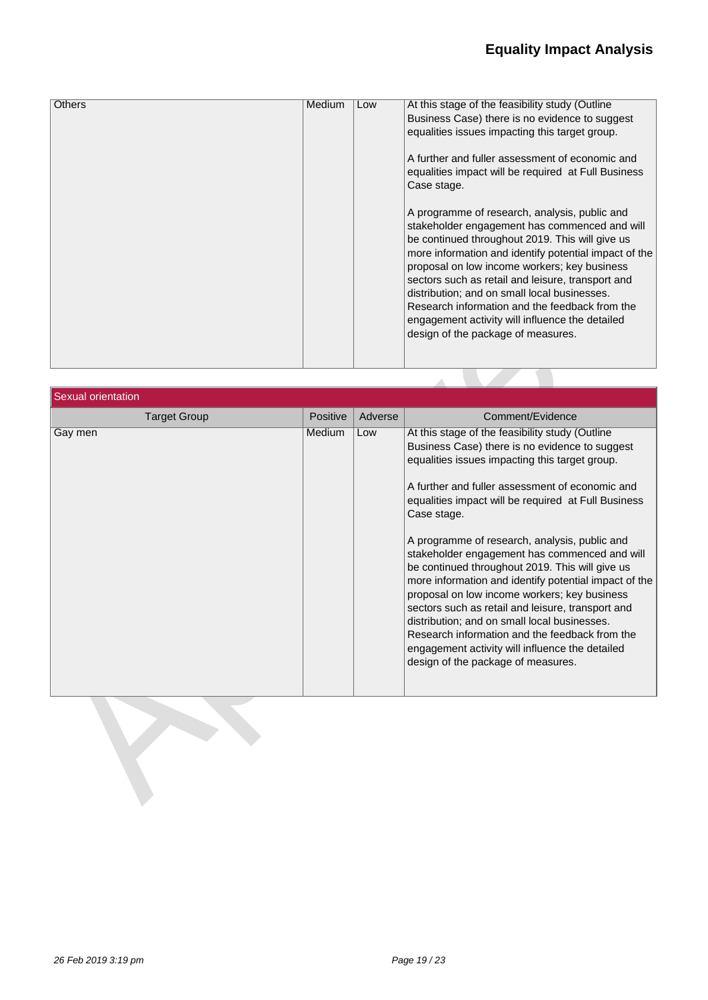| <b>Others</b> | Medium | Low | At this stage of the feasibility study (Outline<br>Business Case) there is no evidence to suggest<br>equalities issues impacting this target group.<br>A further and fuller assessment of economic and<br>equalities impact will be required at Full Business<br>Case stage.<br>A programme of research, analysis, public and<br>stakeholder engagement has commenced and will<br>be continued throughout 2019. This will give us<br>more information and identify potential impact of the<br>proposal on low income workers; key business<br>sectors such as retail and leisure, transport and<br>distribution; and on small local businesses.<br>Research information and the feedback from the |
|---------------|--------|-----|---------------------------------------------------------------------------------------------------------------------------------------------------------------------------------------------------------------------------------------------------------------------------------------------------------------------------------------------------------------------------------------------------------------------------------------------------------------------------------------------------------------------------------------------------------------------------------------------------------------------------------------------------------------------------------------------------|
|               |        |     | engagement activity will influence the detailed<br>design of the package of measures.                                                                                                                                                                                                                                                                                                                                                                                                                                                                                                                                                                                                             |

| Sexual orientation  |                 |         |                                                                                                                                                                                                                                                                                                                                                                                                                                                                                                                                                                                                                                                                                                                                                                                            |
|---------------------|-----------------|---------|--------------------------------------------------------------------------------------------------------------------------------------------------------------------------------------------------------------------------------------------------------------------------------------------------------------------------------------------------------------------------------------------------------------------------------------------------------------------------------------------------------------------------------------------------------------------------------------------------------------------------------------------------------------------------------------------------------------------------------------------------------------------------------------------|
| <b>Target Group</b> | <b>Positive</b> | Adverse | Comment/Evidence                                                                                                                                                                                                                                                                                                                                                                                                                                                                                                                                                                                                                                                                                                                                                                           |
| Gay men             | <b>Medium</b>   | Low     | At this stage of the feasibility study (Outline<br>Business Case) there is no evidence to suggest<br>equalities issues impacting this target group.<br>A further and fuller assessment of economic and<br>equalities impact will be required at Full Business<br>Case stage.<br>A programme of research, analysis, public and<br>stakeholder engagement has commenced and will<br>be continued throughout 2019. This will give us<br>more information and identify potential impact of the<br>proposal on low income workers; key business<br>sectors such as retail and leisure, transport and<br>distribution; and on small local businesses.<br>Research information and the feedback from the<br>engagement activity will influence the detailed<br>design of the package of measures. |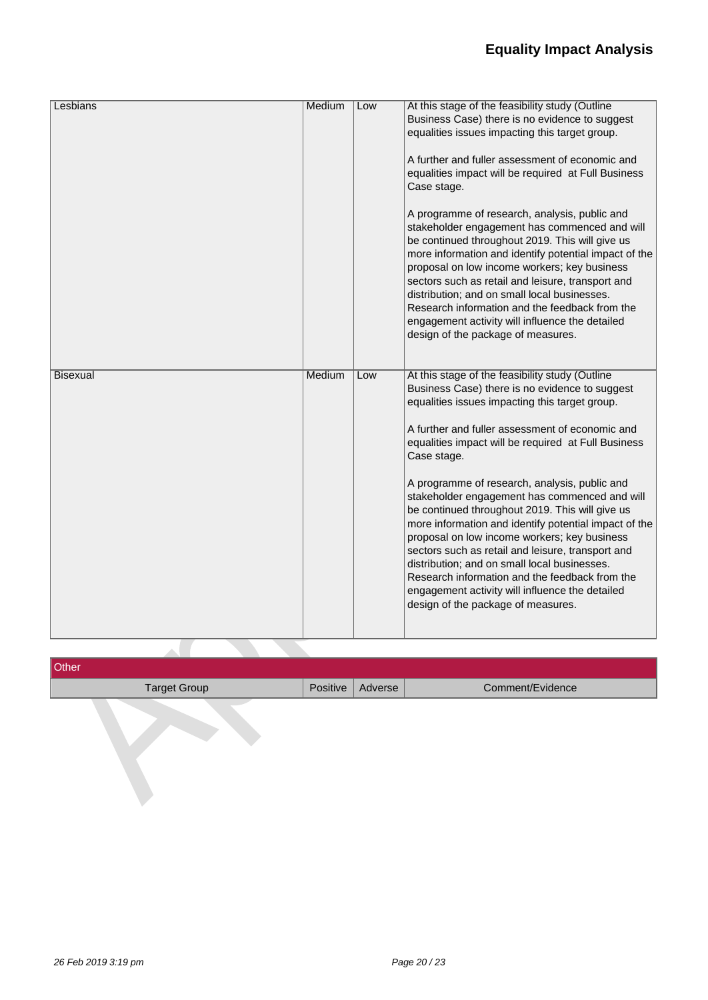| Lesbians        | Medium | Low | At this stage of the feasibility study (Outline<br>Business Case) there is no evidence to suggest                                       |
|-----------------|--------|-----|-----------------------------------------------------------------------------------------------------------------------------------------|
|                 |        |     | equalities issues impacting this target group.                                                                                          |
|                 |        |     | A further and fuller assessment of economic and                                                                                         |
|                 |        |     | equalities impact will be required at Full Business<br>Case stage.                                                                      |
|                 |        |     | A programme of research, analysis, public and<br>stakeholder engagement has commenced and will                                          |
|                 |        |     | be continued throughout 2019. This will give us                                                                                         |
|                 |        |     | more information and identify potential impact of the<br>proposal on low income workers; key business                                   |
|                 |        |     | sectors such as retail and leisure, transport and<br>distribution; and on small local businesses.                                       |
|                 |        |     | Research information and the feedback from the                                                                                          |
|                 |        |     | engagement activity will influence the detailed<br>design of the package of measures.                                                   |
|                 |        |     |                                                                                                                                         |
| <b>Bisexual</b> | Medium | Low | At this stage of the feasibility study (Outline<br>Business Case) there is no evidence to suggest                                       |
|                 |        |     | equalities issues impacting this target group.                                                                                          |
|                 |        |     | A further and fuller assessment of economic and                                                                                         |
|                 |        |     | equalities impact will be required at Full Business<br>Case stage.                                                                      |
|                 |        |     | A programme of research, analysis, public and<br>stakeholder engagement has commenced and will                                          |
|                 |        |     | be continued throughout 2019. This will give us<br>more information and identify potential impact of the                                |
|                 |        |     | proposal on low income workers; key business<br>sectors such as retail and leisure, transport and                                       |
|                 |        |     | distribution; and on small local businesses.                                                                                            |
|                 |        |     | Research information and the feedback from the<br>engagement activity will influence the detailed<br>design of the package of measures. |
|                 |        |     |                                                                                                                                         |

| Other               |                    |                  |
|---------------------|--------------------|------------------|
| <b>Target Group</b> | Positive   Adverse | Comment/Evidence |
|                     |                    |                  |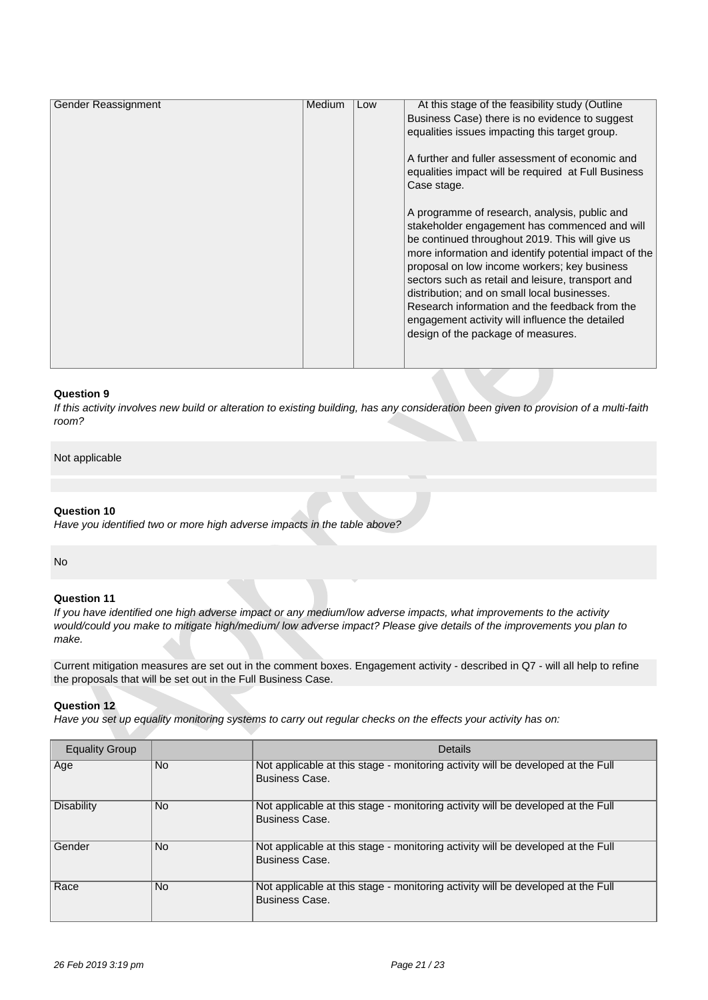| Gender Reassignment | Medium | Low | At this stage of the feasibility study (Outline       |
|---------------------|--------|-----|-------------------------------------------------------|
|                     |        |     |                                                       |
|                     |        |     | Business Case) there is no evidence to suggest        |
|                     |        |     | equalities issues impacting this target group.        |
|                     |        |     |                                                       |
|                     |        |     | A further and fuller assessment of economic and       |
|                     |        |     | equalities impact will be required at Full Business   |
|                     |        |     |                                                       |
|                     |        |     | Case stage.                                           |
|                     |        |     |                                                       |
|                     |        |     | A programme of research, analysis, public and         |
|                     |        |     | stakeholder engagement has commenced and will         |
|                     |        |     |                                                       |
|                     |        |     | be continued throughout 2019. This will give us       |
|                     |        |     | more information and identify potential impact of the |
|                     |        |     | proposal on low income workers; key business          |
|                     |        |     | sectors such as retail and leisure, transport and     |
|                     |        |     | distribution; and on small local businesses.          |
|                     |        |     |                                                       |
|                     |        |     | Research information and the feedback from the        |
|                     |        |     | engagement activity will influence the detailed       |
|                     |        |     | design of the package of measures.                    |
|                     |        |     |                                                       |
|                     |        |     |                                                       |
|                     |        |     |                                                       |

*If this activity involves new build or alteration to existing building, has any consideration been given to provision of a multi-faith room?*

Not applicable

### **Question 10**

*Have you identified two or more high adverse impacts in the table above?*

No

### **Question 11**

*If you have identified one high adverse impact or any medium/low adverse impacts, what improvements to the activity would/could you make to mitigate high/medium/ low adverse impact? Please give details of the improvements you plan to make.*

Current mitigation measures are set out in the comment boxes. Engagement activity - described in Q7 - will all help to refine the proposals that will be set out in the Full Business Case.

### **Question 12**

*Have you set up equality monitoring systems to carry out regular checks on the effects your activity has on:*

| <b>Equality Group</b> |           | <b>Details</b>                                                                                            |
|-----------------------|-----------|-----------------------------------------------------------------------------------------------------------|
| Age                   | <b>No</b> | Not applicable at this stage - monitoring activity will be developed at the Full<br><b>Business Case.</b> |
| <b>Disability</b>     | <b>No</b> | Not applicable at this stage - monitoring activity will be developed at the Full<br><b>Business Case.</b> |
| Gender                | No.       | Not applicable at this stage - monitoring activity will be developed at the Full<br><b>Business Case.</b> |
| Race                  | No.       | Not applicable at this stage - monitoring activity will be developed at the Full<br><b>Business Case.</b> |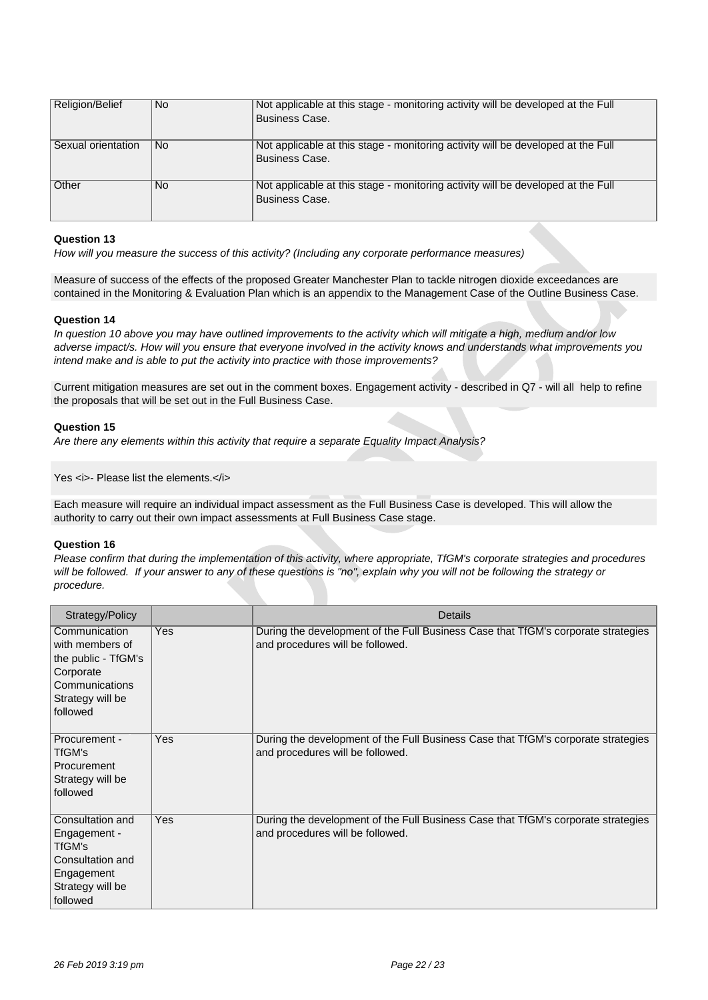| Religion/Belief    | No.       | Not applicable at this stage - monitoring activity will be developed at the Full<br>Business Case. |
|--------------------|-----------|----------------------------------------------------------------------------------------------------|
| Sexual orientation | No.       | Not applicable at this stage - monitoring activity will be developed at the Full<br>Business Case. |
| <b>Other</b>       | <b>No</b> | Not applicable at this stage - monitoring activity will be developed at the Full<br>Business Case. |

*How will you measure the success of this activity? (Including any corporate performance measures)*

Measure of success of the effects of the proposed Greater Manchester Plan to tackle nitrogen dioxide exceedances are contained in the Monitoring & Evaluation Plan which is an appendix to the Management Case of the Outline Business Case.

### **Question 14**

*In question 10 above you may have outlined improvements to the activity which will mitigate a high, medium and/or low adverse impact/s. How will you ensure that everyone involved in the activity knows and understands what improvements you intend make and is able to put the activity into practice with those improvements?*

Current mitigation measures are set out in the comment boxes. Engagement activity - described in Q7 - will all help to refine the proposals that will be set out in the Full Business Case.

### **Question 15**

*Are there any elements within this activity that require a separate Equality Impact Analysis?*

Yes **<i>-** Please list the elements.</i>

Each measure will require an individual impact assessment as the Full Business Case is developed. This will allow the authority to carry out their own impact assessments at Full Business Case stage.

### **Question 16**

*Please confirm that during the implementation of this activity, where appropriate, TfGM's corporate strategies and procedures will be followed. If your answer to any of these questions is "no", explain why you will not be following the strategy or procedure.*

| Strategy/Policy                                                                                                        |            | Details                                                                                                               |
|------------------------------------------------------------------------------------------------------------------------|------------|-----------------------------------------------------------------------------------------------------------------------|
| Communication<br>with members of<br>the public - TfGM's<br>Corporate<br>Communications<br>Strategy will be<br>followed | Yes        | During the development of the Full Business Case that TfGM's corporate strategies<br>and procedures will be followed. |
| Procurement -<br>TfGM's<br>Procurement<br>Strategy will be<br>followed                                                 | <b>Yes</b> | During the development of the Full Business Case that TfGM's corporate strategies<br>and procedures will be followed. |
| Consultation and<br>Engagement -<br>TfGM's<br>Consultation and<br>Engagement<br>Strategy will be<br>followed           | <b>Yes</b> | During the development of the Full Business Case that TfGM's corporate strategies<br>and procedures will be followed. |